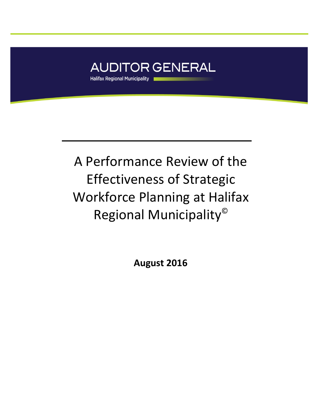

# A Performance Review of the Effectiveness of Strategic Workforce Planning at Halifax Regional Municipality©

**August 2016**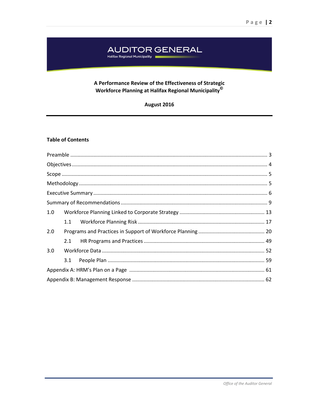## AUDITOR GENERAL<br>Halifax Regional Municipality

## A Performance Review of the Effectiveness of Strategic Workforce Planning at Halifax Regional Municipality<sup>©</sup>

| August 2016 |  |
|-------------|--|
|             |  |

## **Table of Contents**

| 1.0 |  |  |
|-----|--|--|
|     |  |  |
| 2.0 |  |  |
|     |  |  |
| 3.0 |  |  |
|     |  |  |
|     |  |  |
|     |  |  |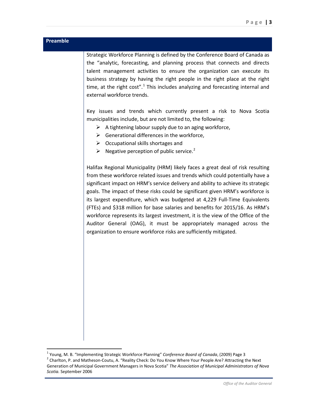## <span id="page-2-0"></span>**Preamble**

 $\overline{\phantom{a}}$ 

Strategic Workforce Planning is defined by the Conference Board of Canada as the "analytic, forecasting, and planning process that connects and directs talent management activities to ensure the organization can execute its business strategy by having the right people in the right place at the right time, at the right  $cost''$ .<sup>[1](#page-2-1)</sup> This includes analyzing and forecasting internal and external workforce trends.

Key issues and trends which currently present a risk to Nova Scotia municipalities include, but are not limited to, the following:

- $\triangleright$  A tightening labour supply due to an aging workforce,
- $\triangleright$  Generational differences in the workforce,
- $\triangleright$  Occupational skills shortages and
- $\triangleright$  Negative perception of public service.<sup>[2](#page-2-2)</sup>

Halifax Regional Municipality (HRM) likely faces a great deal of risk resulting from these workforce related issues and trends which could potentially have a significant impact on HRM's service delivery and ability to achieve its strategic goals. The impact of these risks could be significant given HRM's workforce is its largest expenditure, which was budgeted at 4,229 Full-Time Equivalents (FTEs) and \$318 million for base salaries and benefits for 2015/16. As HRM's workforce represents its largest investment, it is the view of the Office of the Auditor General (OAG), it must be appropriately managed across the organization to ensure workforce risks are sufficiently mitigated.

<span id="page-2-2"></span><span id="page-2-1"></span><sup>&</sup>lt;sup>1</sup> Young, M. B. "Implementing Strategic Workforce Planning" *Conference Board of Canada*, (2009) Page 3 <sup>2</sup> Charlton, P. and Matheson-Coutu, A. "Reality Check: Do You Know Where Your People Are? Attracting the Next Generation of Municipal Government Managers in Nova Scotia" *The Association of Municipal Administrators of Nova Scotia.* September 2006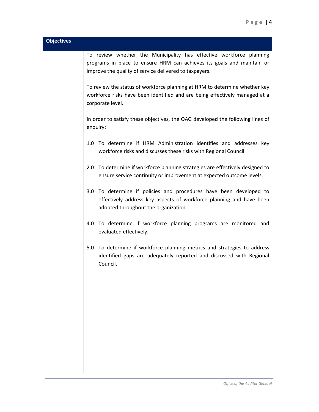<span id="page-3-0"></span>

| <b>Objectives</b> |                                                                                                                                                                                                         |
|-------------------|---------------------------------------------------------------------------------------------------------------------------------------------------------------------------------------------------------|
|                   | To review whether the Municipality has effective workforce planning<br>programs in place to ensure HRM can achieves its goals and maintain or<br>improve the quality of service delivered to taxpayers. |
|                   | To review the status of workforce planning at HRM to determine whether key<br>workforce risks have been identified and are being effectively managed at a<br>corporate level.                           |
|                   | In order to satisfy these objectives, the OAG developed the following lines of<br>enquiry:                                                                                                              |
|                   | To determine if HRM Administration identifies and addresses key<br>1.0<br>workforce risks and discusses these risks with Regional Council.                                                              |
|                   | To determine if workforce planning strategies are effectively designed to<br>2.0<br>ensure service continuity or improvement at expected outcome levels.                                                |
|                   | To determine if policies and procedures have been developed to<br>3.0 <sub>2</sub><br>effectively address key aspects of workforce planning and have been<br>adopted throughout the organization.       |
|                   | To determine if workforce planning programs are monitored and<br>4.0<br>evaluated effectively.                                                                                                          |
|                   | To determine if workforce planning metrics and strategies to address<br>5.0<br>identified gaps are adequately reported and discussed with Regional<br>Council.                                          |
|                   |                                                                                                                                                                                                         |
|                   |                                                                                                                                                                                                         |
|                   |                                                                                                                                                                                                         |
|                   |                                                                                                                                                                                                         |
|                   |                                                                                                                                                                                                         |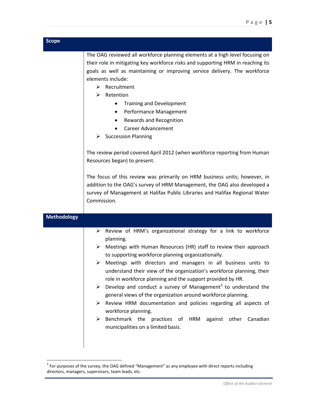<span id="page-4-0"></span>

| <b>Scope</b>       |                                                                                                                                                                                                                                                                                                                                                                                                                                                                                                                                                                                                                                                                                                                                                                                              |
|--------------------|----------------------------------------------------------------------------------------------------------------------------------------------------------------------------------------------------------------------------------------------------------------------------------------------------------------------------------------------------------------------------------------------------------------------------------------------------------------------------------------------------------------------------------------------------------------------------------------------------------------------------------------------------------------------------------------------------------------------------------------------------------------------------------------------|
|                    | The OAG reviewed all workforce planning elements at a high level focusing on<br>their role in mitigating key workforce risks and supporting HRM in reaching its<br>goals as well as maintaining or improving service delivery. The workforce<br>elements include:<br>$\triangleright$ Recruitment<br>Retention<br>➤<br><b>Training and Development</b><br>Performance Management<br>$\bullet$<br>Rewards and Recognition<br>$\bullet$<br><b>Career Advancement</b><br>$\triangleright$ Succession Planning<br>The review period covered April 2012 (when workforce reporting from Human<br>Resources began) to present.<br>The focus of this review was primarily on HRM business units; however, in                                                                                         |
|                    | addition to the OAG's survey of HRM Management, the OAG also developed a<br>survey of Management at Halifax Public Libraries and Halifax Regional Water<br>Commission.                                                                                                                                                                                                                                                                                                                                                                                                                                                                                                                                                                                                                       |
| <b>Methodology</b> |                                                                                                                                                                                                                                                                                                                                                                                                                                                                                                                                                                                                                                                                                                                                                                                              |
|                    | Review of HRM's organizational strategy for a link to workforce<br>➤<br>planning.<br>$\triangleright$ Meetings with Human Resources (HR) staff to review their approach<br>to supporting workforce planning organizationally.<br>Meetings with directors and managers in all business units to<br>➤<br>understand their view of the organization's workforce planning, their<br>role in workforce planning and the support provided by HR.<br>Develop and conduct a survey of Management <sup>3</sup> to understand the<br>➤<br>general views of the organization around workforce planning.<br>Review HRM documentation and policies regarding all aspects of<br>workforce planning.<br>Benchmark the practices of HRM<br>against other Canadian<br>➤<br>municipalities on a limited basis. |

<span id="page-4-2"></span> $3$  For purposes of the survey, the OAG defined "Management" as any employee with direct reports including directors, managers, supervisors, team leads, etc.

<span id="page-4-1"></span>l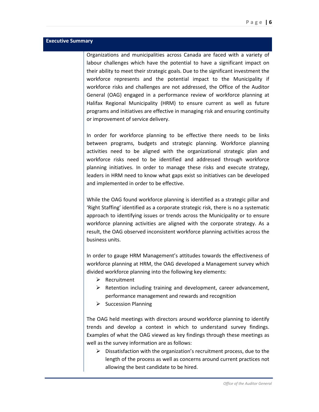#### <span id="page-5-0"></span>**Executive Summary**

Organizations and municipalities across Canada are faced with a variety of labour challenges which have the potential to have a significant impact on their ability to meet their strategic goals. Due to the significant investment the workforce represents and the potential impact to the Municipality if workforce risks and challenges are not addressed, the Office of the Auditor General (OAG) engaged in a performance review of workforce planning at Halifax Regional Municipality (HRM) to ensure current as well as future programs and initiatives are effective in managing risk and ensuring continuity or improvement of service delivery.

In order for workforce planning to be effective there needs to be links between programs, budgets and strategic planning. Workforce planning activities need to be aligned with the organizational strategic plan and workforce risks need to be identified and addressed through workforce planning initiatives. In order to manage these risks and execute strategy, leaders in HRM need to know what gaps exist so initiatives can be developed and implemented in order to be effective.

While the OAG found workforce planning is identified as a strategic pillar and 'Right Staffing' identified as a corporate strategic risk, there is no a systematic approach to identifying issues or trends across the Municipality or to ensure workforce planning activities are aligned with the corporate strategy. As a result, the OAG observed inconsistent workforce planning activities across the business units.

In order to gauge HRM Management's attitudes towards the effectiveness of workforce planning at HRM, the OAG developed a Management survey which divided workforce planning into the following key elements:

- $\triangleright$  Recruitment
- $\triangleright$  Retention including training and development, career advancement, performance management and rewards and recognition
- $\triangleright$  Succession Planning

The OAG held meetings with directors around workforce planning to identify trends and develop a context in which to understand survey findings. Examples of what the OAG viewed as key findings through these meetings as well as the survey information are as follows:

 $\triangleright$  Dissatisfaction with the organization's recruitment process, due to the length of the process as well as concerns around current practices not allowing the best candidate to be hired.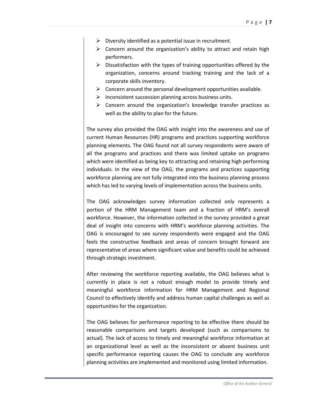- $\triangleright$  Diversity identified as a potential issue in recruitment.
- $\triangleright$  Concern around the organization's ability to attract and retain high performers.
- $\triangleright$  Dissatisfaction with the types of training opportunities offered by the organization, concerns around tracking training and the lack of a corporate skills inventory.
- $\triangleright$  Concern around the personal development opportunities available.
- $\triangleright$  Inconsistent succession planning across business units.
- $\triangleright$  Concern around the organization's knowledge transfer practices as well as the ability to plan for the future.

The survey also provided the OAG with insight into the awareness and use of current Human Resources (HR) programs and practices supporting workforce planning elements. The OAG found not all survey respondents were aware of all the programs and practices and there was limited uptake on programs which were identified as being key to attracting and retaining high performing individuals. In the view of the OAG, the programs and practices supporting workforce planning are not fully integrated into the business planning process which has led to varying levels of implementation across the business units.

The OAG acknowledges survey information collected only represents a portion of the HRM Management team and a fraction of HRM's overall workforce. However, the information collected in the survey provided a great deal of insight into concerns with HRM's workforce planning activities. The OAG is encouraged to see survey respondents were engaged and the OAG feels the constructive feedback and areas of concern brought forward are representative of areas where significant value and benefits could be achieved through strategic investment.

After reviewing the workforce reporting available, the OAG believes what is currently in place is not a robust enough model to provide timely and meaningful workforce information for HRM Management and Regional Council to effectively identify and address human capital challenges as well as opportunities for the organization.

The OAG believes for performance reporting to be effective there should be reasonable comparisons and targets developed (such as comparisons to actual). The lack of access to timely and meaningful workforce information at an organizational level as well as the inconsistent or absent business unit specific performance reporting causes the OAG to conclude any workforce planning activities are implemented and monitored using limited information.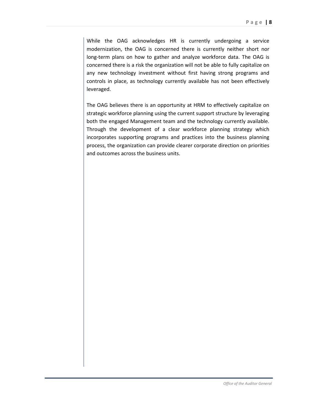While the OAG acknowledges HR is currently undergoing a service modernization, the OAG is concerned there is currently neither short nor long-term plans on how to gather and analyze workforce data. The OAG is concerned there is a risk the organization will not be able to fully capitalize on any new technology investment without first having strong programs and controls in place, as technology currently available has not been effectively leveraged.

The OAG believes there is an opportunity at HRM to effectively capitalize on strategic workforce planning using the current support structure by leveraging both the engaged Management team and the technology currently available. Through the development of a clear workforce planning strategy which incorporates supporting programs and practices into the business planning process, the organization can provide clearer corporate direction on priorities and outcomes across the business units.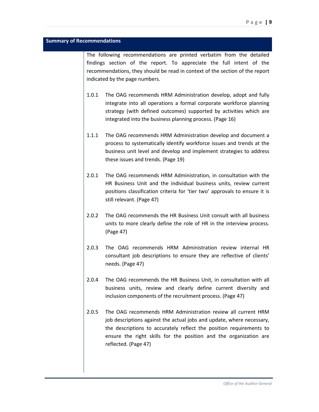#### <span id="page-8-0"></span>**Summary of Recommendations**

The following recommendations are printed verbatim from the detailed findings section of the report. To appreciate the full intent of the recommendations, they should be read in context of the section of the report indicated by the page numbers.

- 1.0.1 The OAG recommends HRM Administration develop, adopt and fully integrate into all operations a formal corporate workforce planning strategy (with defined outcomes) supported by activities which are integrated into the business planning process. (Page 16)
- 1.1.1 The OAG recommends HRM Administration develop and document a process to systematically identify workforce issues and trends at the business unit level and develop and implement strategies to address these issues and trends. (Page 19)
- 2.0.1 The OAG recommends HRM Administration, in consultation with the HR Business Unit and the individual business units, review current positions classification criteria for 'tier two' approvals to ensure it is still relevant. (Page 47)
- 2.0.2 The OAG recommends the HR Business Unit consult with all business units to more clearly define the role of HR in the interview process. (Page 47)
- 2.0.3 The OAG recommends HRM Administration review internal HR consultant job descriptions to ensure they are reflective of clients' needs. (Page 47)
- 2.0.4 The OAG recommends the HR Business Unit, in consultation with all business units, review and clearly define current diversity and inclusion components of the recruitment process. (Page 47)
- 2.0.5 The OAG recommends HRM Administration review all current HRM job descriptions against the actual jobs and update, where necessary, the descriptions to accurately reflect the position requirements to ensure the right skills for the position and the organization are reflected. (Page 47)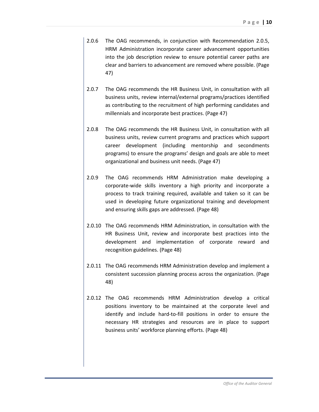- 2.0.6 The OAG recommends, in conjunction with Recommendation 2.0.5, HRM Administration incorporate career advancement opportunities into the job description review to ensure potential career paths are clear and barriers to advancement are removed where possible. (Page 47)
- 2.0.7 The OAG recommends the HR Business Unit, in consultation with all business units, review internal/external programs/practices identified as contributing to the recruitment of high performing candidates and millennials and incorporate best practices. (Page 47)
- 2.0.8 The OAG recommends the HR Business Unit, in consultation with all business units, review current programs and practices which support career development (including mentorship and secondments programs) to ensure the programs' design and goals are able to meet organizational and business unit needs. (Page 47)
- 2.0.9 The OAG recommends HRM Administration make developing a corporate-wide skills inventory a high priority and incorporate a process to track training required, available and taken so it can be used in developing future organizational training and development and ensuring skills gaps are addressed. (Page 48)
- 2.0.10 The OAG recommends HRM Administration, in consultation with the HR Business Unit, review and incorporate best practices into the development and implementation of corporate reward and recognition guidelines. (Page 48)
- 2.0.11 The OAG recommends HRM Administration develop and implement a consistent succession planning process across the organization. (Page 48)
- 2.0.12 The OAG recommends HRM Administration develop a critical positions inventory to be maintained at the corporate level and identify and include hard-to-fill positions in order to ensure the necessary HR strategies and resources are in place to support business units' workforce planning efforts. (Page 48)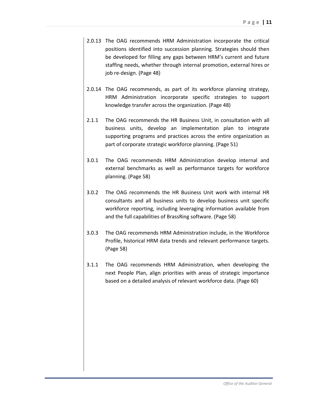- 2.0.13 The OAG recommends HRM Administration incorporate the critical positions identified into succession planning. Strategies should then be developed for filling any gaps between HRM's current and future staffing needs, whether through internal promotion, external hires or job re-design. (Page 48)
- 2.0.14 The OAG recommends, as part of its workforce planning strategy, HRM Administration incorporate specific strategies to support knowledge transfer across the organization. (Page 48)
- 2.1.1 The OAG recommends the HR Business Unit, in consultation with all business units, develop an implementation plan to integrate supporting programs and practices across the entire organization as part of corporate strategic workforce planning. (Page 51)
- 3.0.1 The OAG recommends HRM Administration develop internal and external benchmarks as well as performance targets for workforce planning. (Page 58)
- 3.0.2 The OAG recommends the HR Business Unit work with internal HR consultants and all business units to develop business unit specific workforce reporting, including leveraging information available from and the full capabilities of BrassRing software. (Page 58)
- 3.0.3 The OAG recommends HRM Administration include, in the Workforce Profile, historical HRM data trends and relevant performance targets. (Page 58)
- 3.1.1 The OAG recommends HRM Administration, when developing the next People Plan, align priorities with areas of strategic importance based on a detailed analysis of relevant workforce data. (Page 60)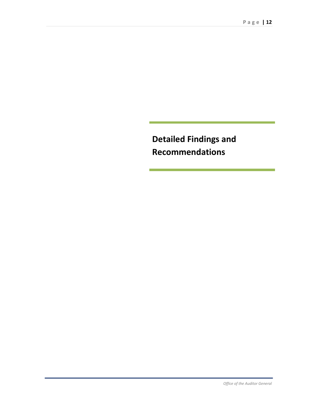**Detailed Findings and Recommendations**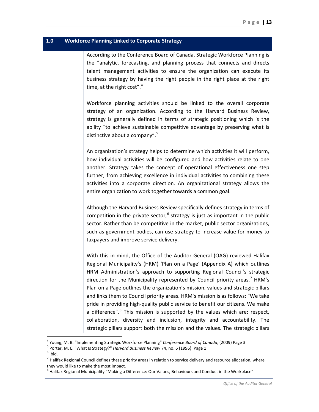## <span id="page-12-0"></span>**1.0 Workforce Planning Linked to Corporate Strategy**

According to the Conference Board of Canada, Strategic Workforce Planning is the "analytic, forecasting, and planning process that connects and directs talent management activities to ensure the organization can execute its business strategy by having the right people in the right place at the right time, at the right cost".<sup>[4](#page-12-1)</sup>

Workforce planning activities should be linked to the overall corporate strategy of an organization. According to the Harvard Business Review, strategy is generally defined in terms of strategic positioning which is the ability "to achieve sustainable competitive advantage by preserving what is distinctive about a company".<sup>[5](#page-12-2)</sup>

An organization's strategy helps to determine which activities it will perform, how individual activities will be configured and how activities relate to one another. Strategy takes the concept of operational effectiveness one step further, from achieving excellence in individual activities to combining these activities into a corporate direction. An organizational strategy allows the entire organization to work together towards a common goal.

Although the Harvard Business Review specifically defines strategy in terms of competition in the private sector,<sup>[6](#page-12-3)</sup> strategy is just as important in the public sector. Rather than be competitive in the market, public sector organizations, such as government bodies, can use strategy to increase value for money to taxpayers and improve service delivery.

With this in mind, the Office of the Auditor General (OAG) reviewed Halifax Regional Municipality's (HRM) 'Plan on a Page' (Appendix A) which outlines HRM Administration's approach to supporting Regional Council's strategic direction for the Municipality represented by Council priority areas.<sup>[7](#page-12-4)</sup> HRM's Plan on a Page outlines the organization's mission, values and strategic pillars and links them to Council priority areas. HRM's mission is as follows: "We take pride in providing high-quality public service to benefit our citizens. We make a difference".<sup>[8](#page-12-5)</sup> This mission is supported by the values which are: respect, collaboration, diversity and inclusion, integrity and accountability. The strategic pillars support both the mission and the values. The strategic pillars

 $\overline{\phantom{a}}$ 

<span id="page-12-1"></span><sup>&</sup>lt;sup>4</sup> Young, M. B. "Implementing Strategic Workforce Planning" *Conference Board of Canada*, (2009) Page 3<br><sup>5</sup> Porter, M. E. "What Is Strategy?" *Harvard Business Review* 74, no. 6 (1996): Page 1<br><sup>6</sup> Ibid.

<span id="page-12-2"></span>

<span id="page-12-4"></span><span id="page-12-3"></span><sup>1012.&</sup>lt;br><sup>7</sup> Halifax Regional Council defines these priority areas in relation to service delivery and resource allocation, where they would like to make the most impact.

<span id="page-12-5"></span><sup>&</sup>lt;sup>8</sup> Halifax Regional Municipality "Making a Difference: Our Values, Behaviours and Conduct in the Workplace"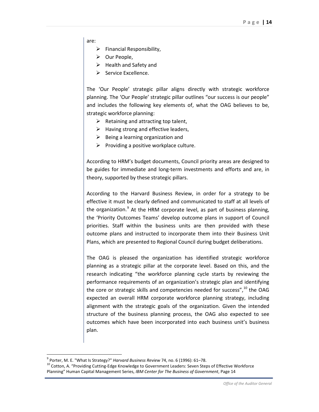are:

- $\triangleright$  Financial Responsibility,
- $\triangleright$  Our People,
- $\triangleright$  Health and Safety and
- $\triangleright$  Service Excellence.

The 'Our People' strategic pillar aligns directly with strategic workforce planning. The 'Our People' strategic pillar outlines "our success is our people" and includes the following key elements of, what the OAG believes to be, strategic workforce planning:

- $\triangleright$  Retaining and attracting top talent,
- $\triangleright$  Having strong and effective leaders,
- $\triangleright$  Being a learning organization and
- $\triangleright$  Providing a positive workplace culture.

According to HRM's budget documents, Council priority areas are designed to be guides for immediate and long-term investments and efforts and are, in theory, supported by these strategic pillars.

According to the Harvard Business Review, in order for a strategy to be effective it must be clearly defined and communicated to staff at all levels of the organization.<sup>[9](#page-13-0)</sup> At the HRM corporate level, as part of business planning, the 'Priority Outcomes Teams' develop outcome plans in support of Council priorities. Staff within the business units are then provided with these outcome plans and instructed to incorporate them into their Business Unit Plans, which are presented to Regional Council during budget deliberations.

The OAG is pleased the organization has identified strategic workforce planning as a strategic pillar at the corporate level. Based on this, and the research indicating "the workforce planning cycle starts by reviewing the performance requirements of an organization's strategic plan and identifying the core or strategic skills and competencies needed for success", $10$  the OAG expected an overall HRM corporate workforce planning strategy, including alignment with the strategic goals of the organization. Given the intended structure of the business planning process, the OAG also expected to see outcomes which have been incorporated into each business unit's business plan.

 $\overline{\phantom{a}}$ 

<span id="page-13-1"></span><span id="page-13-0"></span><sup>&</sup>lt;sup>9</sup> Porter, M. E. "What Is Strategy?" *Harvard Business Review 74*, no. 6 (1996): 61–78.<br><sup>10</sup> Cotton, A. "Providing Cutting-Edge Knowledge to Government Leaders: Seven Steps of Effective Workforce Planning" Human Capital Management Series, *IBM Center for The Business of Government*, Page 14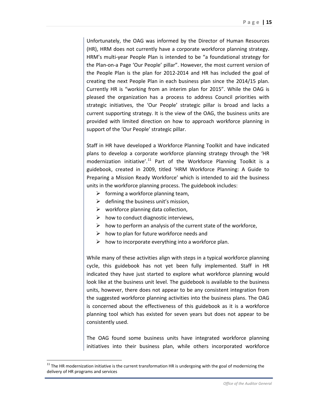Unfortunately, the OAG was informed by the Director of Human Resources (HR), HRM does not currently have a corporate workforce planning strategy. HRM's multi-year People Plan is intended to be "a foundational strategy for the Plan-on-a Page 'Our People' pillar". However, the most current version of the People Plan is the plan for 2012-2014 and HR has included the goal of creating the next People Plan in each business plan since the 2014/15 plan. Currently HR is "working from an interim plan for 2015". While the OAG is pleased the organization has a process to address Council priorities with strategic initiatives, the 'Our People' strategic pillar is broad and lacks a current supporting strategy. It is the view of the OAG, the business units are provided with limited direction on how to approach workforce planning in support of the 'Our People' strategic pillar.

Staff in HR have developed a Workforce Planning Toolkit and have indicated plans to develop a corporate workforce planning strategy through the 'HR modernization initiative'.<sup>[11](#page-14-0)</sup> Part of the Workforce Planning Toolkit is a guidebook, created in 2009, titled 'HRM Workforce Planning: A Guide to Preparing a Mission Ready Workforce' which is intended to aid the business units in the workforce planning process. The guidebook includes:

- $\triangleright$  forming a workforce planning team,
- $\triangleright$  defining the business unit's mission,
- $\triangleright$  workforce planning data collection,
- $\triangleright$  how to conduct diagnostic interviews,
- $\triangleright$  how to perform an analysis of the current state of the workforce,
- $\triangleright$  how to plan for future workforce needs and
- $\triangleright$  how to incorporate everything into a workforce plan.

While many of these activities align with steps in a typical workforce planning cycle, this guidebook has not yet been fully implemented. Staff in HR indicated they have just started to explore what workforce planning would look like at the business unit level. The guidebook is available to the business units, however, there does not appear to be any consistent integration from the suggested workforce planning activities into the business plans. The OAG is concerned about the effectiveness of this guidebook as it is a workforce planning tool which has existed for seven years but does not appear to be consistently used.

The OAG found some business units have integrated workforce planning initiatives into their business plan, while others incorporated workforce

l

<span id="page-14-0"></span> $11$  The HR modernization initiative is the current transformation HR is undergoing with the goal of modernizing the delivery of HR programs and services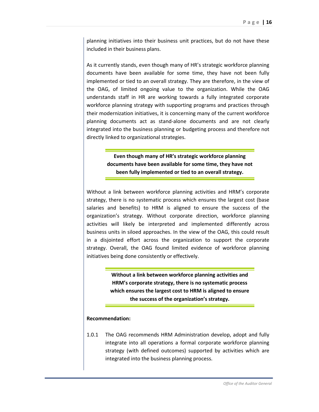planning initiatives into their business unit practices, but do not have these included in their business plans.

As it currently stands, even though many of HR's strategic workforce planning documents have been available for some time, they have not been fully implemented or tied to an overall strategy. They are therefore, in the view of the OAG, of limited ongoing value to the organization. While the OAG understands staff in HR are working towards a fully integrated corporate workforce planning strategy with supporting programs and practices through their modernization initiatives, it is concerning many of the current workforce planning documents act as stand-alone documents and are not clearly integrated into the business planning or budgeting process and therefore not directly linked to organizational strategies.

> **Even though many of HR's strategic workforce planning documents have been available for some time, they have not been fully implemented or tied to an overall strategy.**

Without a link between workforce planning activities and HRM's corporate strategy, there is no systematic process which ensures the largest cost (base salaries and benefits) to HRM is aligned to ensure the success of the organization's strategy. Without corporate direction, workforce planning activities will likely be interpreted and implemented differently across business units in siloed approaches. In the view of the OAG, this could result in a disjointed effort across the organization to support the corporate strategy. Overall, the OAG found limited evidence of workforce planning initiatives being done consistently or effectively.

> **Without a link between workforce planning activities and HRM's corporate strategy, there is no systematic process which ensures the largest cost to HRM is aligned to ensure the success of the organization's strategy.**

#### **Recommendation:**

1.0.1 The OAG recommends HRM Administration develop, adopt and fully integrate into all operations a formal corporate workforce planning strategy (with defined outcomes) supported by activities which are integrated into the business planning process.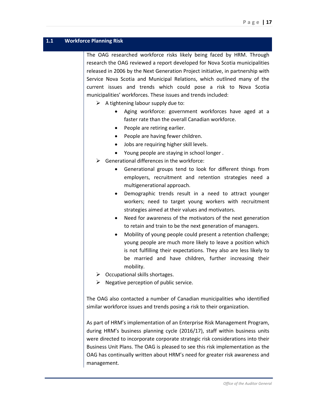#### <span id="page-16-0"></span>**1.1 Workforce Planning Risk**

The OAG researched workforce risks likely being faced by HRM. Through research the OAG reviewed a report developed for Nova Scotia municipalities released in 2006 by the Next Generation Project initiative, in partnership with Service Nova Scotia and Municipal Relations, which outlined many of the current issues and trends which could pose a risk to Nova Scotia municipalities' workforces. These issues and trends included:

- $\triangleright$  A tightening labour supply due to:
	- Aging workforce: government workforces have aged at a faster rate than the overall Canadian workforce.
	- People are retiring earlier.
	- People are having fewer children.
	- Jobs are requiring higher skill levels.
	- Young people are staying in school longer .
- $\triangleright$  Generational differences in the workforce:
	- Generational groups tend to look for different things from employers, recruitment and retention strategies need a multigenerational approach.
	- Demographic trends result in a need to attract younger workers; need to target young workers with recruitment strategies aimed at their values and motivators.
	- Need for awareness of the motivators of the next generation to retain and train to be the next generation of managers.
	- Mobility of young people could present a retention challenge; young people are much more likely to leave a position which is not fulfilling their expectations. They also are less likely to be married and have children, further increasing their mobility.
- $\triangleright$  Occupational skills shortages.
- $\triangleright$  Negative perception of public service.

The OAG also contacted a number of Canadian municipalities who identified similar workforce issues and trends posing a risk to their organization.

As part of HRM's implementation of an Enterprise Risk Management Program, during HRM's business planning cycle (2016/17), staff within business units were directed to incorporate corporate strategic risk considerations into their Business Unit Plans. The OAG is pleased to see this risk implementation as the OAG has continually written about HRM's need for greater risk awareness and management.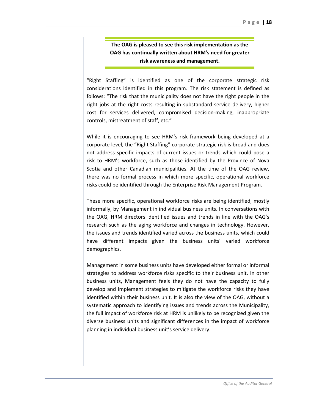**The OAG is pleased to see this risk implementation as the OAG has continually written about HRM's need for greater risk awareness and management.**

"Right Staffing" is identified as one of the corporate strategic risk considerations identified in this program. The risk statement is defined as follows: "The risk that the municipality does not have the right people in the right jobs at the right costs resulting in substandard service delivery, higher cost for services delivered, compromised decision-making, inappropriate controls, mistreatment of staff, etc."

While it is encouraging to see HRM's risk framework being developed at a corporate level, the "Right Staffing" corporate strategic risk is broad and does not address specific impacts of current issues or trends which could pose a risk to HRM's workforce, such as those identified by the Province of Nova Scotia and other Canadian municipalities. At the time of the OAG review, there was no formal process in which more specific, operational workforce risks could be identified through the Enterprise Risk Management Program.

These more specific, operational workforce risks are being identified, mostly informally, by Management in individual business units. In conversations with the OAG, HRM directors identified issues and trends in line with the OAG's research such as the aging workforce and changes in technology. However, the issues and trends identified varied across the business units, which could have different impacts given the business units' varied workforce demographics.

Management in some business units have developed either formal or informal strategies to address workforce risks specific to their business unit. In other business units, Management feels they do not have the capacity to fully develop and implement strategies to mitigate the workforce risks they have identified within their business unit. It is also the view of the OAG, without a systematic approach to identifying issues and trends across the Municipality, the full impact of workforce risk at HRM is unlikely to be recognized given the diverse business units and significant differences in the impact of workforce planning in individual business unit's service delivery.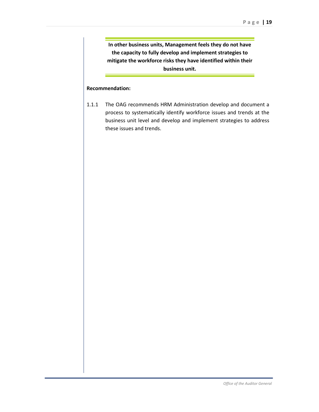**In other business units, Management feels they do not have the capacity to fully develop and implement strategies to mitigate the workforce risks they have identified within their business unit.**

#### **Recommendation:**

1.1.1 The OAG recommends HRM Administration develop and document a process to systematically identify workforce issues and trends at the business unit level and develop and implement strategies to address these issues and trends.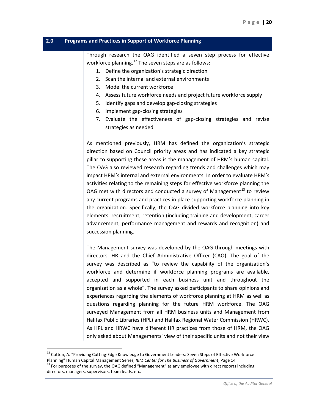#### <span id="page-19-0"></span>**2.0 Programs and Practices in Support of Workforce Planning**

Through research the OAG identified a seven step process for effective workforce planning.<sup>[12](#page-19-1)</sup> The seven steps are as follows:

- 1. Define the organization's strategic direction
- 2. Scan the internal and external environments
- 3. Model the current workforce
- 4. Assess future workforce needs and project future workforce supply
- 5. Identify gaps and develop gap-closing strategies
- 6. Implement gap-closing strategies
- 7. Evaluate the effectiveness of gap-closing strategies and revise strategies as needed

As mentioned previously, HRM has defined the organization's strategic direction based on Council priority areas and has indicated a key strategic pillar to supporting these areas is the management of HRM's human capital. The OAG also reviewed research regarding trends and challenges which may impact HRM's internal and external environments. In order to evaluate HRM's activities relating to the remaining steps for effective workforce planning the OAG met with directors and conducted a survey of Management<sup>[13](#page-19-2)</sup> to review any current programs and practices in place supporting workforce planning in the organization. Specifically, the OAG divided workforce planning into key elements: recruitment, retention (including training and development, career advancement, performance management and rewards and recognition) and succession planning.

The Management survey was developed by the OAG through meetings with directors, HR and the Chief Administrative Officer (CAO). The goal of the survey was described as "to review the capability of the organization's workforce and determine if workforce planning programs are available, accepted and supported in each business unit and throughout the organization as a whole". The survey asked participants to share opinions and experiences regarding the elements of workforce planning at HRM as well as questions regarding planning for the future HRM workforce. The OAG surveyed Management from all HRM business units and Management from Halifax Public Libraries (HPL) and Halifax Regional Water Commission (HRWC). As HPL and HRWC have different HR practices from those of HRM, the OAG only asked about Managements' view of their specific units and not their view

 $\overline{\phantom{a}}$ 

<span id="page-19-1"></span><sup>&</sup>lt;sup>12</sup> Cotton, A. "Providing Cutting-Edge Knowledge to Government Leaders: Seven Steps of Effective Workforce<br>Planning" Human Capital Management Series, *IBM Center for The Business of Government*, Page 14

<span id="page-19-2"></span><sup>&</sup>lt;sup>13</sup> For purposes of the survey, the OAG defined "Management" as any employee with direct reports including directors, managers, supervisors, team leads, etc.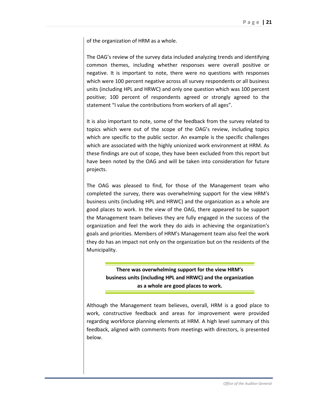of the organization of HRM as a whole.

The OAG's review of the survey data included analyzing trends and identifying common themes, including whether responses were overall positive or negative. It is important to note, there were no questions with responses which were 100 percent negative across all survey respondents or all business units (including HPL and HRWC) and only one question which was 100 percent positive; 100 percent of respondents agreed or strongly agreed to the statement "I value the contributions from workers of all ages".

It is also important to note, some of the feedback from the survey related to topics which were out of the scope of the OAG's review, including topics which are specific to the public sector. An example is the specific challenges which are associated with the highly unionized work environment at HRM. As these findings are out of scope, they have been excluded from this report but have been noted by the OAG and will be taken into consideration for future projects.

The OAG was pleased to find, for those of the Management team who completed the survey, there was overwhelming support for the view HRM's business units (including HPL and HRWC) and the organization as a whole are good places to work. In the view of the OAG, there appeared to be support the Management team believes they are fully engaged in the success of the organization and feel the work they do aids in achieving the organization's goals and priorities. Members of HRM's Management team also feel the work they do has an impact not only on the organization but on the residents of the Municipality.

> **There was overwhelming support for the view HRM's business units (including HPL and HRWC) and the organization as a whole are good places to work.**

Although the Management team believes, overall, HRM is a good place to work, constructive feedback and areas for improvement were provided regarding workforce planning elements at HRM. A high level summary of this feedback, aligned with comments from meetings with directors, is presented below.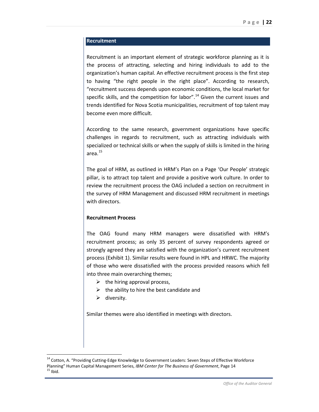#### **Recruitment**

Recruitment is an important element of strategic workforce planning as it is the process of attracting, selecting and hiring individuals to add to the organization's human capital. An effective recruitment process is the first step to having "the right people in the right place". According to research, "recruitment success depends upon economic conditions, the local market for specific skills, and the competition for labor".<sup>[14](#page-21-0)</sup> Given the current issues and trends identified for Nova Scotia municipalities, recruitment of top talent may become even more difficult.

According to the same research, government organizations have specific challenges in regards to recruitment, such as attracting individuals with specialized or technical skills or when the supply of skills is limited in the hiring area.[15](#page-21-1)

The goal of HRM, as outlined in HRM's Plan on a Page 'Our People' strategic pillar, is to attract top talent and provide a positive work culture. In order to review the recruitment process the OAG included a section on recruitment in the survey of HRM Management and discussed HRM recruitment in meetings with directors.

#### **Recruitment Process**

The OAG found many HRM managers were dissatisfied with HRM's recruitment process; as only 35 percent of survey respondents agreed or strongly agreed they are satisfied with the organization's current recruitment process (Exhibit 1). Similar results were found in HPL and HRWC. The majority of those who were dissatisfied with the process provided reasons which fell into three main overarching themes;

- $\triangleright$  the hiring approval process,
- $\triangleright$  the ability to hire the best candidate and
- $\triangleright$  diversity.

 $\overline{\phantom{a}}$ 

Similar themes were also identified in meetings with directors.

<span id="page-21-1"></span><span id="page-21-0"></span><sup>&</sup>lt;sup>14</sup> Cotton, A. "Providing Cutting-Edge Knowledge to Government Leaders: Seven Steps of Effective Workforce Planning" Human Capital Management Series, *IBM Center for The Business of Government*, Page 14<br><sup>15</sup> Ibid.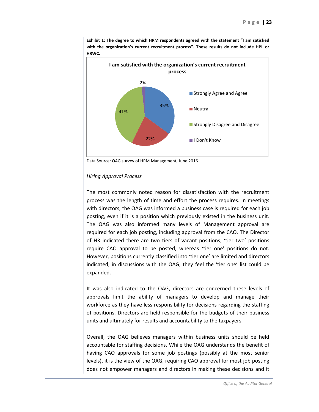

**Exhibit 1: The degree to which HRM respondents agreed with the statement "I am satisfied with the organization's current recruitment process". These results do not include HPL or HRWC.** 

Data Source: OAG survey of HRM Management, June 2016

#### *Hiring Approval Process*

The most commonly noted reason for dissatisfaction with the recruitment process was the length of time and effort the process requires. In meetings with directors, the OAG was informed a business case is required for each job posting, even if it is a position which previously existed in the business unit. The OAG was also informed many levels of Management approval are required for each job posting, including approval from the CAO. The Director of HR indicated there are two tiers of vacant positions; 'tier two' positions require CAO approval to be posted, whereas 'tier one' positions do not. However, positions currently classified into 'tier one' are limited and directors indicated, in discussions with the OAG, they feel the 'tier one' list could be expanded.

It was also indicated to the OAG, directors are concerned these levels of approvals limit the ability of managers to develop and manage their workforce as they have less responsibility for decisions regarding the staffing of positions. Directors are held responsible for the budgets of their business units and ultimately for results and accountability to the taxpayers.

Overall, the OAG believes managers within business units should be held accountable for staffing decisions. While the OAG understands the benefit of having CAO approvals for some job postings (possibly at the most senior levels), it is the view of the OAG, requiring CAO approval for most job posting does not empower managers and directors in making these decisions and it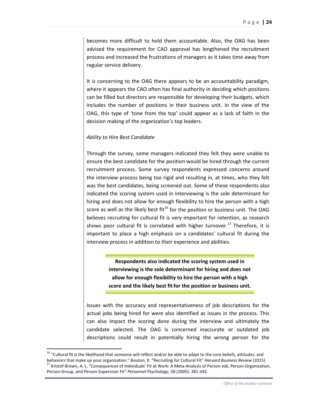becomes more difficult to hold them accountable. Also, the OAG has been advised the requirement for CAO approval has lengthened the recruitment process and increased the frustrations of managers as it takes time away from regular service delivery.

It is concerning to the OAG there appears to be an accountability paradigm, where it appears the CAO often has final authority in deciding which positions can be filled but directors are responsible for developing their budgets, which includes the number of positions in their business unit. In the view of the OAG, this type of 'tone from the top' could appear as a lack of faith in the decision making of the organization's top leaders.

#### *Ability to Hire Best Candidate*

Through the survey, some managers indicated they felt they were unable to ensure the best candidate for the position would be hired through the current recruitment process. Some survey respondents expressed concerns around the interview process being too rigid and resulting in, at times, who they felt was the best candidates, being screened out. Some of these respondents also indicated the scoring system used in interviewing is the sole determinant for hiring and does not allow for enough flexibility to hire the person with a high score as well as the likely best fit<sup>[16](#page-23-0)</sup> for the position or business unit. The OAG believes recruiting for cultural fit is very important for retention, as research shows poor cultural fit is correlated with higher turnover.<sup>[17](#page-23-1)</sup> Therefore, it is important to place a high emphasis on a candidates' cultural fit during the interview process in addition to their experience and abilities.

> **Respondents also indicated the scoring system used in interviewing is the sole determinant for hiring and does not allow for enough flexibility to hire the person with a high score and the likely best fitfor the position or business unit.**

Issues with the accuracy and representativeness of job descriptions for the actual jobs being hired for were also identified as issues in the process. This can also impact the scoring done during the interview and ultimately the candidate selected. The OAG is concerned inaccurate or outdated job descriptions could result in potentially hiring the wrong person for the

 $\overline{\phantom{a}}$ 

<span id="page-23-1"></span><span id="page-23-0"></span><sup>&</sup>lt;sup>16</sup> "Cultural fit is the likelihood that someone will reflect and/or be able to adapt to the core beliefs, attitudes, and<br>behaviors that make up your organization." Bouton, K. "Recruiting for Cultural Fit" *Harvard Busine* <sup>17</sup> Kristof-Brown, A. L. "Consequences of Individuals' Fit at Work: A Meta-Analysis of Person-Job, Person-Organization, Person-Group, and Person-Supervisor Fit" *Personnel Psychology,* 58 (2005): 281-342.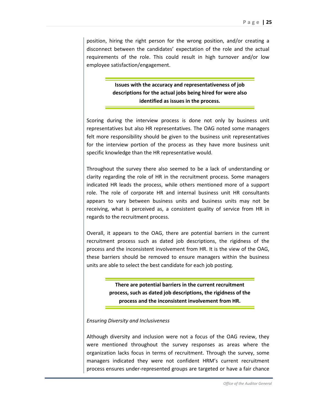position, hiring the right person for the wrong position, and/or creating a disconnect between the candidates' expectation of the role and the actual requirements of the role. This could result in high turnover and/or low employee satisfaction/engagement.

> **Issues with the accuracy and representativeness of job descriptions for the actual jobs being hired for were also identified as issues in the process.**

Scoring during the interview process is done not only by business unit representatives but also HR representatives. The OAG noted some managers felt more responsibility should be given to the business unit representatives for the interview portion of the process as they have more business unit specific knowledge than the HR representative would.

Throughout the survey there also seemed to be a lack of understanding or clarity regarding the role of HR in the recruitment process. Some managers indicated HR leads the process, while others mentioned more of a support role. The role of corporate HR and internal business unit HR consultants appears to vary between business units and business units may not be receiving, what is perceived as, a consistent quality of service from HR in regards to the recruitment process.

Overall, it appears to the OAG, there are potential barriers in the current recruitment process such as dated job descriptions, the rigidness of the process and the inconsistent involvement from HR. It is the view of the OAG, these barriers should be removed to ensure managers within the business units are able to select the best candidate for each job posting.

> **There are potential barriers in the current recruitment process, such as dated job descriptions, the rigidness of the process and the inconsistent involvement from HR.**

#### *Ensuring Diversity and Inclusiveness*

Although diversity and inclusion were not a focus of the OAG review, they were mentioned throughout the survey responses as areas where the organization lacks focus in terms of recruitment. Through the survey, some managers indicated they were not confident HRM's current recruitment process ensures under-represented groups are targeted or have a fair chance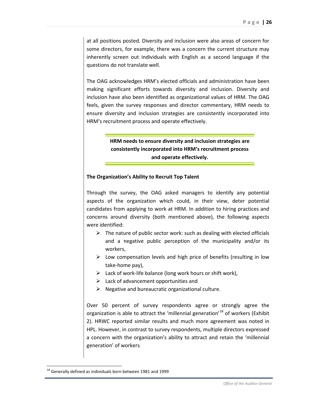at all positions posted. Diversity and inclusion were also areas of concern for some directors, for example, there was a concern the current structure may inherently screen out individuals with English as a second language if the questions do not translate well.

The OAG acknowledges HRM's elected officials and administration have been making significant efforts towards diversity and inclusion. Diversity and inclusion have also been identified as organizational values of HRM. The OAG feels, given the survey responses and director commentary, HRM needs to ensure diversity and inclusion strategies are consistently incorporated into HRM's recruitment process and operate effectively.

> **HRM needs to ensure diversity and inclusion strategies are consistently incorporated into HRM's recruitment process and operate effectively.**

#### **The Organization's Ability to Recruit Top Talent**

Through the survey, the OAG asked managers to identify any potential aspects of the organization which could, in their view, deter potential candidates from applying to work at HRM. In addition to hiring practices and concerns around diversity (both mentioned above), the following aspects were identified:

- $\triangleright$  The nature of public sector work: such as dealing with elected officials and a negative public perception of the municipality and/or its workers,
- $\triangleright$  Low compensation levels and high price of benefits (resulting in low take-home pay),
- $\triangleright$  Lack of work-life balance (long work hours or shift work),
- $\triangleright$  Lack of advancement opportunities and
- $\triangleright$  Negative and bureaucratic organizational culture.

Over 50 percent of survey respondents agree or strongly agree the organization is able to attract the 'millennial generation'<sup>[18](#page-25-0)</sup> of workers (Exhibit 2). HRWC reported similar results and much more agreement was noted in HPL. However, in contrast to survey respondents, multiple directors expressed a concern with the organization's ability to attract and retain the 'millennial generation' of workers.

 $\overline{\phantom{a}}$ 

<span id="page-25-0"></span> $18$  Generally defined as individuals born between 1981 and 1999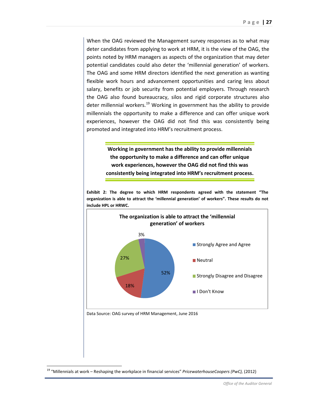When the OAG reviewed the Management survey responses as to what may deter candidates from applying to work at HRM, it is the view of the OAG, the points noted by HRM managers as aspects of the organization that may deter potential candidates could also deter the 'millennial generation' of workers. The OAG and some HRM directors identified the next generation as wanting flexible work hours and advancement opportunities and caring less about salary, benefits or job security from potential employers. Through research the OAG also found bureaucracy, silos and rigid corporate structures also deter millennial workers.<sup>[19](#page-26-0)</sup> Working in government has the ability to provide millennials the opportunity to make a difference and can offer unique work experiences, however the OAG did not find this was consistently being promoted and integrated into HRM's recruitment process.

> **Working in government has the ability to provide millennials the opportunity to make a difference and can offer unique work experiences, however the OAG did not find this was consistently being integrated into HRM's recruitment process.**

**Exhibit 2: The degree to which HRM respondents agreed with the statement "The organization is able to attract the 'millennial generation' of workers". These results do not include HPL or HRWC.**



 $\overline{\phantom{a}}$ 

<span id="page-26-0"></span><sup>19</sup> "Millennials at work – Reshaping the workplace in financial services" *PricewaterhouseCoopers (PwC),* (2012)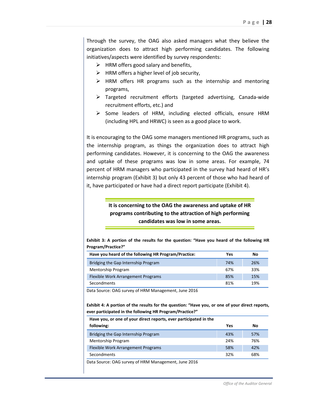Through the survey, the OAG also asked managers what they believe the organization does to attract high performing candidates. The following initiatives/aspects were identified by survey respondents:

- $\triangleright$  HRM offers good salary and benefits,
- $\triangleright$  HRM offers a higher level of job security,
- $\triangleright$  HRM offers HR programs such as the internship and mentoring programs,
- Targeted recruitment efforts (targeted advertising, Canada-wide recruitment efforts, etc.) and
- $\triangleright$  Some leaders of HRM, including elected officials, ensure HRM (including HPL and HRWC) is seen as a good place to work.

It is encouraging to the OAG some managers mentioned HR programs, such as the internship program, as things the organization does to attract high performing candidates. However, it is concerning to the OAG the awareness and uptake of these programs was low in some areas. For example, 74 percent of HRM managers who participated in the survey had heard of HR's internship program (Exhibit 3) but only 43 percent of those who had heard of it, have participated or have had a direct report participate (Exhibit 4).

## **It is concerning to the OAG the awareness and uptake of HR programs contributing to the attraction of high performing candidates was low in some areas.**

**Exhibit 3: A portion of the results for the question: "Have you heard of the following HR Program/Practice?"** 

| Have you heard of the following HR Program/Practice: | Yes | No  |
|------------------------------------------------------|-----|-----|
| Bridging the Gap Internship Program                  | 74% | 26% |
| <b>Mentorship Program</b>                            | 67% | 33% |
| Flexible Work Arrangement Programs                   | 85% | 15% |
| Secondments                                          | 81% | 19% |

Data Source: OAG survey of HRM Management, June 2016

**Exhibit 4: A portion of the results for the question: "Have you, or one of your direct reports, ever participated in the following HR Program/Practice?"**

| Yes                                                               | No  |
|-------------------------------------------------------------------|-----|
| 43%                                                               | 57% |
| 24%                                                               | 76% |
| 58%                                                               | 42% |
| 32%                                                               | 68% |
| Have you, or one of your direct reports, ever participated in the |     |

Data Source: OAG survey of HRM Management, June 2016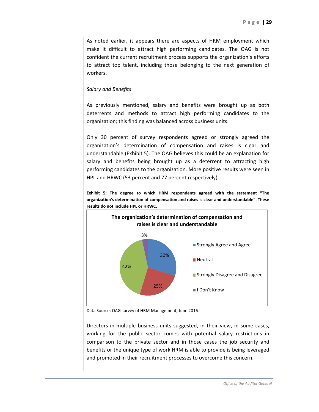As noted earlier, it appears there are aspects of HRM employment which make it difficult to attract high performing candidates. The OAG is not confident the current recruitment process supports the organization's efforts to attract top talent, including those belonging to the next generation of workers.

#### *Salary and Benefits*

As previously mentioned, salary and benefits were brought up as both deterrents and methods to attract high performing candidates to the organization; this finding was balanced across business units.

Only 30 percent of survey respondents agreed or strongly agreed the organization's determination of compensation and raises is clear and understandable (Exhibit 5). The OAG believes this could be an explanation for salary and benefits being brought up as a deterrent to attracting high performing candidates to the organization. More positive results were seen in HPL and HRWC (53 percent and 77 percent respectively).

**Exhibit 5: The degree to which HRM respondents agreed with the statement "The organization's determination of compensation and raises is clear and understandable". These results do not include HPL or HRWC.** 



Data Source: OAG survey of HRM Management, June 2016

Directors in multiple business units suggested, in their view, in some cases, working for the public sector comes with potential salary restrictions in comparison to the private sector and in those cases the job security and benefits or the unique type of work HRM is able to provide is being leveraged and promoted in their recruitment processes to overcome this concern.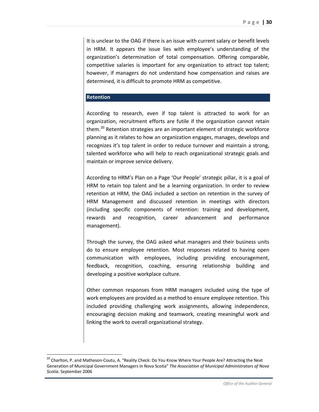It is unclear to the OAG if there is an issue with current salary or benefit levels in HRM. It appears the issue lies with employee's understanding of the organization's determination of total compensation. Offering comparable, competitive salaries is important for any organization to attract top talent; however, if managers do not understand how compensation and raises are determined, it is difficult to promote HRM as competitive.

#### **Retention**

 $\overline{\phantom{a}}$ 

According to research, even if top talent is attracted to work for an organization, recruitment efforts are futile if the organization cannot retain them.<sup>[20](#page-29-0)</sup> Retention strategies are an important element of strategic workforce planning as it relates to how an organization engages, manages, develops and recognizes it's top talent in order to reduce turnover and maintain a strong, talented workforce who will help to reach organizational strategic goals and maintain or improve service delivery.

According to HRM's Plan on a Page 'Our People' strategic pillar, it is a goal of HRM to retain top talent and be a learning organization. In order to review retention at HRM, the OAG included a section on retention in the survey of HRM Management and discussed retention in meetings with directors (including specific components of retention: training and development, rewards and recognition, career advancement and performance management).

Through the survey, the OAG asked what managers and their business units do to ensure employee retention. Most responses related to having open communication with employees, including providing encouragement, feedback, recognition, coaching, ensuring relationship building and developing a positive workplace culture.

Other common responses from HRM managers included using the type of work employees are provided as a method to ensure employee retention. This included providing challenging work assignments, allowing independence, encouraging decision making and teamwork, creating meaningful work and linking the work to overall organizational strategy.

<span id="page-29-0"></span><sup>&</sup>lt;sup>20</sup> Charlton, P. and Matheson-Coutu, A. "Reality Check: Do You Know Where Your People Are? Attracting the Next Generation of Municipal Government Managers in Nova Scotia" *The Association of Municipal Administrators of Nova Scotia.* September 2006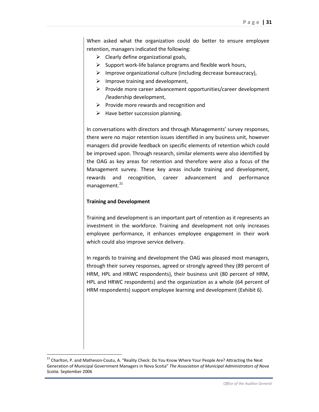When asked what the organization could do better to ensure employee retention, managers indicated the following:

- $\triangleright$  Clearly define organizational goals,
- $\triangleright$  Support work-life balance programs and flexible work hours,
- $\triangleright$  Improve organizational culture (including decrease bureaucracy),
- $\triangleright$  Improve training and development,
- $\triangleright$  Provide more career advancement opportunities/career development /leadership development,
- $\triangleright$  Provide more rewards and recognition and
- $\triangleright$  Have better succession planning.

In conversations with directors and through Managements' survey responses, there were no major retention issues identified in any business unit, however managers did provide feedback on specific elements of retention which could be improved upon. Through research, similar elements were also identified by the OAG as key areas for retention and therefore were also a focus of the Management survey. These key areas include training and development, rewards and recognition, career advancement and performance management.<sup>[21](#page-30-0)</sup>

#### **Training and Development**

 $\overline{\phantom{a}}$ 

Training and development is an important part of retention as it represents an investment in the workforce. Training and development not only increases employee performance, it enhances employee engagement in their work which could also improve service delivery.

In regards to training and development the OAG was pleased most managers, through their survey responses, agreed or strongly agreed they (89 percent of HRM, HPL and HRWC respondents), their business unit (80 percent of HRM, HPL and HRWC respondents) and the organization as a whole (64 percent of HRM respondents) support employee learning and development (Exhibit 6).

<span id="page-30-0"></span><sup>&</sup>lt;sup>21</sup> Charlton, P. and Matheson-Coutu, A. "Reality Check: Do You Know Where Your People Are? Attracting the Next Generation of Municipal Government Managers in Nova Scotia" *The Association of Municipal Administrators of Nova Scotia.* September 2006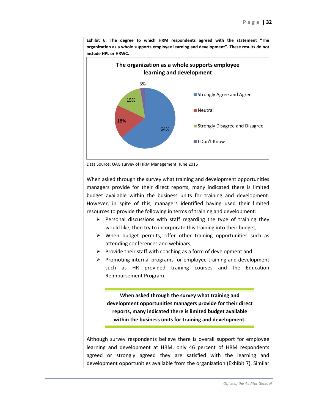

**Exhibit 6: The degree to which HRM respondents agreed with the statement "The organization as a whole supports employee learning and development". These results do not include HPL or HRWC.**



When asked through the survey what training and development opportunities managers provide for their direct reports, many indicated there is limited budget available within the business units for training and development. However, in spite of this, managers identified having used their limited resources to provide the following in terms of training and development:

- $\triangleright$  Personal discussions with staff regarding the type of training they would like, then try to incorporate this training into their budget,
- $\triangleright$  When budget permits, offer other training opportunities such as attending conferences and webinars,
- $\triangleright$  Provide their staff with coaching as a form of development and
- $\triangleright$  Promoting internal programs for employee training and development such as HR provided training courses and the Education Reimbursement Program.

**When asked through the survey what training and development opportunities managers provide for their direct reports, many indicated there is limited budget available within the business units for training and development.**

Although survey respondents believe there is overall support for employee learning and development at HRM, only 46 percent of HRM respondents agreed or strongly agreed they are satisfied with the learning and development opportunities available from the organization (Exhibit 7). Similar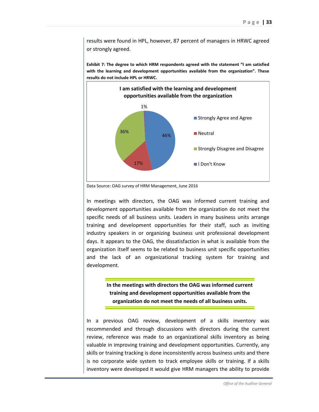results were found in HPL, however, 87 percent of managers in HRWC agreed or strongly agreed.

**Exhibit 7: The degree to which HRM respondents agreed with the statement "I am satisfied with the learning and development opportunities available from the organization". These results do not include HPL or HRWC.**



Data Source: OAG survey of HRM Management, June 2016

In meetings with directors, the OAG was informed current training and development opportunities available from the organization do not meet the specific needs of all business units. Leaders in many business units arrange training and development opportunities for their staff, such as inviting industry speakers in or organizing business unit professional development days. It appears to the OAG, the dissatisfaction in what is available from the organization itself seems to be related to business unit specific opportunities and the lack of an organizational tracking system for training and development.

> **In the meetings with directors the OAG was informed current training and development opportunities available from the organization do not meet the needs of all business units.**

In a previous OAG review, development of a skills inventory was recommended and through discussions with directors during the current review, reference was made to an organizational skills inventory as being valuable in improving training and development opportunities. Currently, any skills or training tracking is done inconsistently across business units and there is no corporate wide system to track employee skills or training. If a skills inventory were developed it would give HRM managers the ability to provide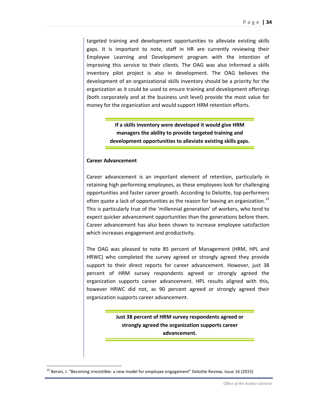targeted training and development opportunities to alleviate existing skills gaps. It is important to note, staff in HR are currently reviewing their Employee Learning and Development program with the intention of improving this service to their clients. The OAG was also informed a skills inventory pilot project is also in development. The OAG believes the development of an organizational skills inventory should be a priority for the organization as it could be used to ensure training and development offerings (both corporately and at the business unit level) provide the most value for money for the organization and would support HRM retention efforts.

> **If a skills inventory were developed it would give HRM managers the ability to provide targeted training and development opportunities to alleviate existing skills gaps.**

#### **Career Advancement**

Career advancement is an important element of retention, particularly in retaining high performing employees, as these employees look for challenging opportunities and faster career growth. According to Deloitte, top performers often quote a lack of opportunities as the reason for leaving an organization.<sup>[22](#page-33-0)</sup> This is particularly true of the 'millennial generation' of workers, who tend to expect quicker advancement opportunities than the generations before them. Career advancement has also been shown to increase employee satisfaction which increases engagement and productivity.

The OAG was pleased to note 85 percent of Management (HRM, HPL and HRWC) who completed the survey agreed or strongly agreed they provide support to their direct reports for career advancement. However, just 38 percent of HRM survey respondents agreed or strongly agreed the organization supports career advancement. HPL results aligned with this, however HRWC did not, as 90 percent agreed or strongly agreed their organization supports career advancement.

> **Just 38 percent of HRM survey respondents agreed or strongly agreed the organization supports career advancement.**

 $\overline{\phantom{a}}$ 

<span id="page-33-0"></span><sup>&</sup>lt;sup>22</sup> Bersin, J. "Becoming irresistible: a new model for employee engagement" Deloitte Review, Issue 16 (2015)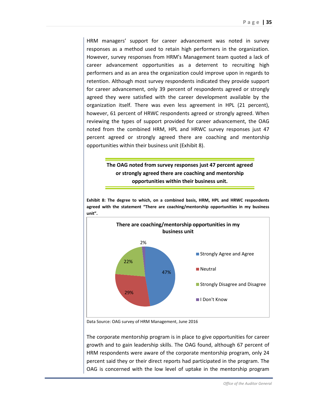HRM managers' support for career advancement was noted in survey responses as a method used to retain high performers in the organization. However, survey responses from HRM's Management team quoted a lack of career advancement opportunities as a deterrent to recruiting high performers and as an area the organization could improve upon in regards to retention. Although most survey respondents indicated they provide support for career advancement, only 39 percent of respondents agreed or strongly agreed they were satisfied with the career development available by the organization itself. There was even less agreement in HPL (21 percent), however, 61 percent of HRWC respondents agreed or strongly agreed. When reviewing the types of support provided for career advancement, the OAG noted from the combined HRM, HPL and HRWC survey responses just 47 percent agreed or strongly agreed there are coaching and mentorship opportunities within their business unit (Exhibit 8).

## **The OAG noted from survey responses just 47 percent agreed or strongly agreed there are coaching and mentorship opportunities within their business unit.**

**Exhibit 8: The degree to which, on a combined basis, HRM, HPL and HRWC respondents agreed with the statement "There are coaching/mentorship opportunities in my business unit".** 



Data Source: OAG survey of HRM Management, June 2016

The corporate mentorship program is in place to give opportunities for career growth and to gain leadership skills. The OAG found, although 67 percent of HRM respondents were aware of the corporate mentorship program, only 24 percent said they or their direct reports had participated in the program. The OAG is concerned with the low level of uptake in the mentorship program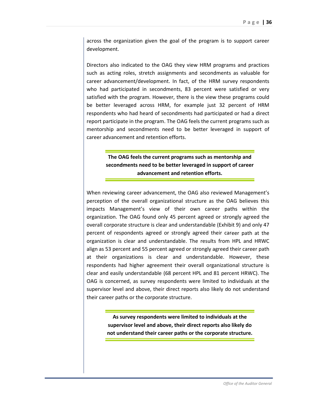across the organization given the goal of the program is to support career development.

Directors also indicated to the OAG they view HRM programs and practices such as acting roles, stretch assignments and secondments as valuable for career advancement/development. In fact, of the HRM survey respondents who had participated in secondments, 83 percent were satisfied or very satisfied with the program. However, there is the view these programs could be better leveraged across HRM, for example just 32 percent of HRM respondents who had heard of secondments had participated or had a direct report participate in the program. The OAG feels the current programs such as mentorship and secondments need to be better leveraged in support of career advancement and retention efforts.

> **The OAG feels the current programs such as mentorship and secondments need to be better leveraged in support of career advancement and retention efforts.**

When reviewing career advancement, the OAG also reviewed Management's perception of the overall organizational structure as the OAG believes this impacts Management's view of their own career paths within the organization. The OAG found only 45 percent agreed or strongly agreed the overall corporate structure is clear and understandable (Exhibit 9) and only 47 percent of respondents agreed or strongly agreed their career path at the organization is clear and understandable. The results from HPL and HRWC align as 53 percent and 55 percent agreed or strongly agreed their career path at their organizations is clear and understandable. However, these respondents had higher agreement their overall organizational structure is clear and easily understandable (68 percent HPL and 81 percent HRWC). The OAG is concerned, as survey respondents were limited to individuals at the supervisor level and above, their direct reports also likely do not understand their career paths or the corporate structure.

> **As survey respondents were limited to individuals at the supervisor level and above, their direct reports also likely do not understand their career paths or the corporate structure.**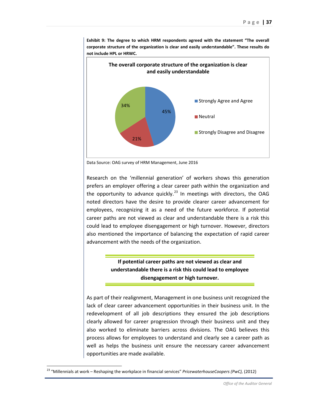

**Exhibit 9: The degree to which HRM respondents agreed with the statement "The overall corporate structure of the organization is clear and easily understandable". These results do not include HPL or HRWC.**



Research on the 'millennial generation' of workers shows this generation prefers an employer offering a clear career path within the organization and the opportunity to advance quickly.<sup>[23](#page-36-0)</sup> In meetings with directors, the OAG noted directors have the desire to provide clearer career advancement for employees, recognizing it as a need of the future workforce. If potential career paths are not viewed as clear and understandable there is a risk this could lead to employee disengagement or high turnover. However, directors also mentioned the importance of balancing the expectation of rapid career advancement with the needs of the organization.

> **If potential career paths are not viewed as clear and understandable there is a risk this could lead to employee disengagement or high turnover.**

As part of their realignment, Management in one business unit recognized the lack of clear career advancement opportunities in their business unit. In the redevelopment of all job descriptions they ensured the job descriptions clearly allowed for career progression through their business unit and they also worked to eliminate barriers across divisions. The OAG believes this process allows for employees to understand and clearly see a career path as well as helps the business unit ensure the necessary career advancement opportunities are made available.

 $\overline{\phantom{a}}$ 

<span id="page-36-0"></span><sup>23</sup> "Millennials at work – Reshaping the workplace in financial services" *PricewaterhouseCoopers (PwC),* (2012)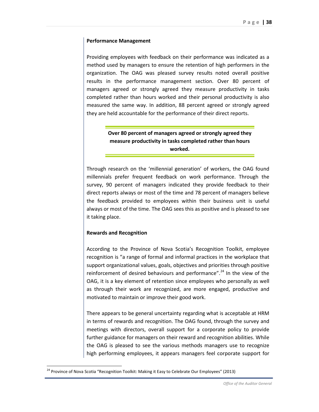#### **Performance Management**

Providing employees with feedback on their performance was indicated as a method used by managers to ensure the retention of high performers in the organization. The OAG was pleased survey results noted overall positive results in the performance management section. Over 80 percent of managers agreed or strongly agreed they measure productivity in tasks completed rather than hours worked and their personal productivity is also measured the same way. In addition, 88 percent agreed or strongly agreed they are held accountable for the performance of their direct reports.

> **Over 80 percent of managers agreed or strongly agreed they measure productivity in tasks completed rather than hours worked.**

Through research on the 'millennial generation' of workers, the OAG found millennials prefer frequent feedback on work performance. Through the survey, 90 percent of managers indicated they provide feedback to their direct reports always or most of the time and 78 percent of managers believe the feedback provided to employees within their business unit is useful always or most of the time. The OAG sees this as positive and is pleased to see it taking place.

#### **Rewards and Recognition**

According to the Province of Nova Scotia's Recognition Toolkit, employee recognition is "a range of formal and informal practices in the workplace that support organizational values, goals, objectives and priorities through positive reinforcement of desired behaviours and performance".<sup>[24](#page-37-0)</sup> In the view of the OAG, it is a key element of retention since employees who personally as well as through their work are recognized, are more engaged, productive and motivated to maintain or improve their good work.

There appears to be general uncertainty regarding what is acceptable at HRM in terms of rewards and recognition. The OAG found, through the survey and meetings with directors, overall support for a corporate policy to provide further guidance for managers on their reward and recognition abilities. While the OAG is pleased to see the various methods managers use to recognize high performing employees, it appears managers feel corporate support for

 $\overline{\phantom{a}}$ 

<span id="page-37-0"></span><sup>&</sup>lt;sup>24</sup> Province of Nova Scotia "Recognition Toolkit: Making it Easy to Celebrate Our Employees" (2013)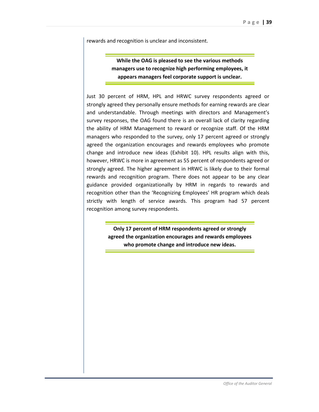rewards and recognition is unclear and inconsistent.

**While the OAG is pleased to see the various methods managers use to recognize high performing employees, it appears managers feel corporate support is unclear.**

Just 30 percent of HRM, HPL and HRWC survey respondents agreed or strongly agreed they personally ensure methods for earning rewards are clear and understandable. Through meetings with directors and Management's survey responses, the OAG found there is an overall lack of clarity regarding the ability of HRM Management to reward or recognize staff. Of the HRM managers who responded to the survey, only 17 percent agreed or strongly agreed the organization encourages and rewards employees who promote change and introduce new ideas (Exhibit 10). HPL results align with this, however, HRWC is more in agreement as 55 percent of respondents agreed or strongly agreed. The higher agreement in HRWC is likely due to their formal rewards and recognition program. There does not appear to be any clear guidance provided organizationally by HRM in regards to rewards and recognition other than the 'Recognizing Employees' HR program which deals strictly with length of service awards. This program had 57 percent recognition among survey respondents.

> **Only 17 percent of HRM respondents agreed or strongly agreed the organization encourages and rewards employees who promote change and introduce new ideas.**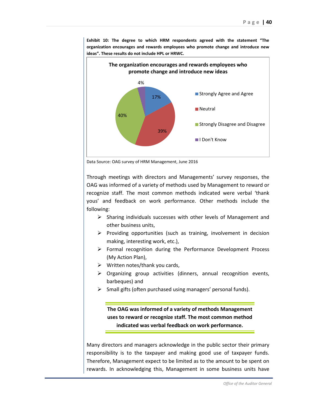

**Exhibit 10: The degree to which HRM respondents agreed with the statement "The organization encourages and rewards employees who promote change and introduce new ideas". These results do not include HPL or HRWC.**

Data Source: OAG survey of HRM Management, June 2016

Through meetings with directors and Managements' survey responses, the OAG was informed of a variety of methods used by Management to reward or recognize staff. The most common methods indicated were verbal 'thank yous' and feedback on work performance. Other methods include the following:

- $\triangleright$  Sharing individuals successes with other levels of Management and other business units,
- $\triangleright$  Providing opportunities (such as training, involvement in decision making, interesting work, etc.),
- $\triangleright$  Formal recognition during the Performance Development Process (My Action Plan),
- $\triangleright$  Written notes/thank you cards,
- $\triangleright$  Organizing group activities (dinners, annual recognition events, barbeques) and
- $\triangleright$  Small gifts (often purchased using managers' personal funds).

**The OAG was informed of a variety of methods Management uses to reward or recognize staff. The most common method indicated was verbal feedback on work performance.** 

Many directors and managers acknowledge in the public sector their primary responsibility is to the taxpayer and making good use of taxpayer funds. Therefore, Management expect to be limited as to the amount to be spent on rewards. In acknowledging this, Management in some business units have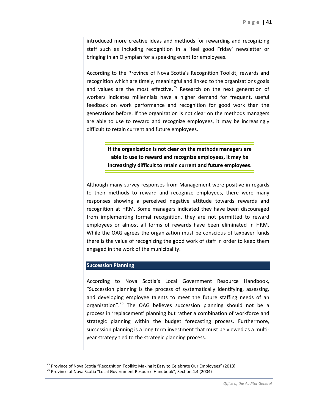introduced more creative ideas and methods for rewarding and recognizing staff such as including recognition in a 'feel good Friday' newsletter or bringing in an Olympian for a speaking event for employees.

According to the Province of Nova Scotia's Recognition Toolkit, rewards and recognition which are timely, meaningful and linked to the organizations goals and values are the most effective. $^{25}$  Research on the next generation of workers indicates millennials have a higher demand for frequent, useful feedback on work performance and recognition for good work than the generations before. If the organization is not clear on the methods managers are able to use to reward and recognize employees, it may be increasingly difficult to retain current and future employees.

> **If the organization is not clear on the methods managers are able to use to reward and recognize employees, it may be increasingly difficult to retain current and future employees.**

Although many survey responses from Management were positive in regards to their methods to reward and recognize employees, there were many responses showing a perceived negative attitude towards rewards and recognition at HRM. Some managers indicated they have been discouraged from implementing formal recognition, they are not permitted to reward employees or almost all forms of rewards have been eliminated in HRM. While the OAG agrees the organization must be conscious of taxpayer funds there is the value of recognizing the good work of staff in order to keep them engaged in the work of the municipality.

#### **Succession Planning**

l

According to Nova Scotia's Local Government Resource Handbook, "Succession planning is the process of systematically identifying, assessing, and developing employee talents to meet the future staffing needs of an organization".<sup>[26](#page-40-1)</sup> The OAG believes succession planning should not be a process in 'replacement' planning but rather a combination of workforce and strategic planning within the budget forecasting process. Furthermore, succession planning is a long term investment that must be viewed as a multiyear strategy tied to the strategic planning process.

<span id="page-40-0"></span><sup>&</sup>lt;sup>25</sup> Province of Nova Scotia "Recognition Toolkit: Making it Easy to Celebrate Our Employees" (2013) <sup>26</sup> Province of Nova Scotia "Local Government Resource Handbook", Section 4.4 (2004)

<span id="page-40-1"></span>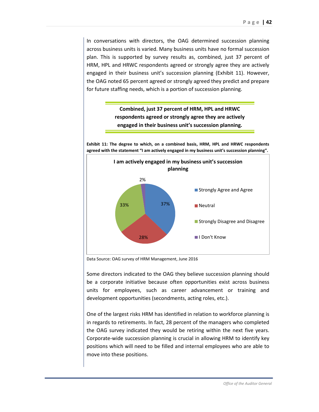In conversations with directors, the OAG determined succession planning across business units is varied. Many business units have no formal succession plan. This is supported by survey results as, combined, just 37 percent of HRM, HPL and HRWC respondents agreed or strongly agree they are actively engaged in their business unit's succession planning (Exhibit 11). However, the OAG noted 65 percent agreed or strongly agreed they predict and prepare for future staffing needs, which is a portion of succession planning.



**Exhibit 11: The degree to which, on a combined basis, HRM, HPL and HRWC respondents agreed with the statement "I am actively engaged in my business unit's succession planning".**



Data Source: OAG survey of HRM Management, June 2016

Some directors indicated to the OAG they believe succession planning should be a corporate initiative because often opportunities exist across business units for employees, such as career advancement or training and development opportunities (secondments, acting roles, etc.).

One of the largest risks HRM has identified in relation to workforce planning is in regards to retirements. In fact, 28 percent of the managers who completed the OAG survey indicated they would be retiring within the next five years. Corporate-wide succession planning is crucial in allowing HRM to identify key positions which will need to be filled and internal employees who are able to move into these positions.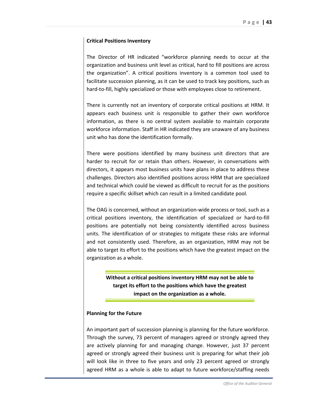#### **Critical Positions Inventory**

The Director of HR indicated "workforce planning needs to occur at the organization and business unit level as critical, hard to fill positions are across the organization". A critical positions inventory is a common tool used to facilitate succession planning, as it can be used to track key positions, such as hard-to-fill, highly specialized or those with employees close to retirement.

There is currently not an inventory of corporate critical positions at HRM. It appears each business unit is responsible to gather their own workforce information, as there is no central system available to maintain corporate workforce information. Staff in HR indicated they are unaware of any business unit who has done the identification formally.

There were positions identified by many business unit directors that are harder to recruit for or retain than others. However, in conversations with directors, it appears most business units have plans in place to address these challenges. Directors also identified positions across HRM that are specialized and technical which could be viewed as difficult to recruit for as the positions require a specific skillset which can result in a limited candidate pool.

The OAG is concerned, without an organization-wide process or tool, such as a critical positions inventory, the identification of specialized or hard-to-fill positions are potentially not being consistently identified across business units. The identification of or strategies to mitigate these risks are informal and not consistently used. Therefore, as an organization, HRM may not be able to target its effort to the positions which have the greatest impact on the organization as a whole.

> **Without a critical positions inventory HRM may not be able to target its effort to the positions which have the greatest impact on the organization as a whole.**

#### **Planning for the Future**

An important part of succession planning is planning for the future workforce. Through the survey, 73 percent of managers agreed or strongly agreed they are actively planning for and managing change. However, just 37 percent agreed or strongly agreed their business unit is preparing for what their job will look like in three to five years and only 23 percent agreed or strongly agreed HRM as a whole is able to adapt to future workforce/staffing needs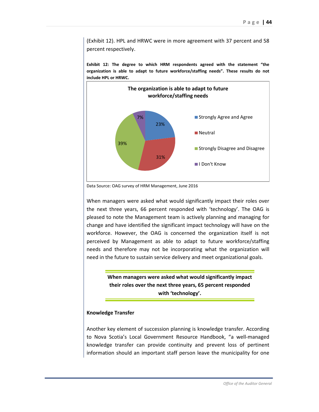(Exhibit 12). HPL and HRWC were in more agreement with 37 percent and 58 percent respectively.

**Exhibit 12: The degree to which HRM respondents agreed with the statement "the organization is able to adapt to future workforce/staffing needs". These results do not include HPL or HRWC.**



Data Source: OAG survey of HRM Management, June 2016

When managers were asked what would significantly impact their roles over the next three years, 66 percent responded with 'technology'. The OAG is pleased to note the Management team is actively planning and managing for change and have identified the significant impact technology will have on the workforce. However, the OAG is concerned the organization itself is not perceived by Management as able to adapt to future workforce/staffing needs and therefore may not be incorporating what the organization will need in the future to sustain service delivery and meet organizational goals.

> **When managers were asked what would significantly impact their roles over the next three years, 65 percent responded with 'technology'.**

#### **Knowledge Transfer**

Another key element of succession planning is knowledge transfer. According to Nova Scotia's Local Government Resource Handbook, "a well-managed knowledge transfer can provide continuity and prevent loss of pertinent information should an important staff person leave the municipality for one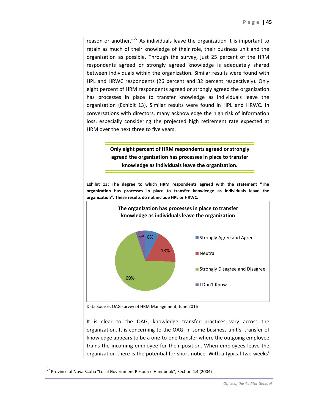reason or another. $127$  $127$  As individuals leave the organization it is important to retain as much of their knowledge of their role, their business unit and the organization as possible. Through the survey, just 25 percent of the HRM respondents agreed or strongly agreed knowledge is adequately shared between individuals within the organization. Similar results were found with HPL and HRWC respondents (26 percent and 32 percent respectively). Only eight percent of HRM respondents agreed or strongly agreed the organization has processes in place to transfer knowledge as individuals leave the organization (Exhibit 13). Similar results were found in HPL and HRWC. In conversations with directors, many acknowledge the high risk of information loss, especially considering the projected high retirement rate expected at HRM over the next three to five years.

## **Only eight percent of HRM respondents agreed or strongly agreed the organization has processes in place to transfer knowledge as individuals leave the organization.**

**Exhibit 13: The degree to which HRM respondents agreed with the statement "The organization has processes in place to transfer knowledge as individuals leave the organization". These results do not include HPL or HRWC.**



Data Source: OAG survey of HRM Management, June 2016

It is clear to the OAG, knowledge transfer practices vary across the organization. It is concerning to the OAG, in some business unit's, transfer of knowledge appears to be a one-to-one transfer where the outgoing employee trains the incoming employee for their position. When employees leave the organization there is the potential for short notice. With a typical two weeks'

 $\overline{\phantom{a}}$ 

<span id="page-44-0"></span><sup>&</sup>lt;sup>27</sup> Province of Nova Scotia "Local Government Resource Handbook", Section 4.4 (2004)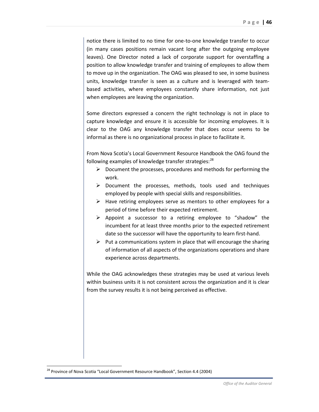notice there is limited to no time for one-to-one knowledge transfer to occur (in many cases positions remain vacant long after the outgoing employee leaves). One Director noted a lack of corporate support for overstaffing a position to allow knowledge transfer and training of employees to allow them to move up in the organization. The OAG was pleased to see, in some business units, knowledge transfer is seen as a culture and is leveraged with teambased activities, where employees constantly share information, not just when employees are leaving the organization.

Some directors expressed a concern the right technology is not in place to capture knowledge and ensure it is accessible for incoming employees. It is clear to the OAG any knowledge transfer that does occur seems to be informal as there is no organizational process in place to facilitate it.

From Nova Scotia's Local Government Resource Handbook the OAG found the following examples of knowledge transfer strategies:<sup>[28](#page-45-0)</sup>

- $\triangleright$  Document the processes, procedures and methods for performing the work.
- $\triangleright$  Document the processes, methods, tools used and techniques employed by people with special skills and responsibilities.
- $\triangleright$  Have retiring employees serve as mentors to other employees for a period of time before their expected retirement.
- $\triangleright$  Appoint a successor to a retiring employee to "shadow" the incumbent for at least three months prior to the expected retirement date so the successor will have the opportunity to learn first-hand.
- $\triangleright$  Put a communications system in place that will encourage the sharing of information of all aspects of the organizations operations and share experience across departments.

While the OAG acknowledges these strategies may be used at various levels within business units it is not consistent across the organization and it is clear from the survey results it is not being perceived as effective.

 $\overline{\phantom{a}}$ 

<span id="page-45-0"></span><sup>&</sup>lt;sup>28</sup> Province of Nova Scotia "Local Government Resource Handbook", Section 4.4 (2004)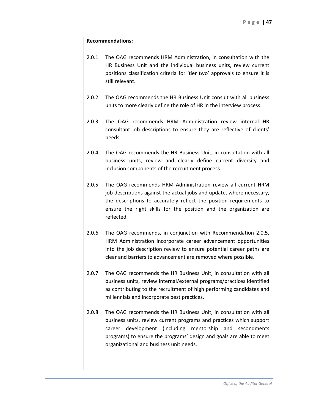#### **Recommendations:**

- 2.0.1 The OAG recommends HRM Administration, in consultation with the HR Business Unit and the individual business units, review current positions classification criteria for 'tier two' approvals to ensure it is still relevant.
- 2.0.2 The OAG recommends the HR Business Unit consult with all business units to more clearly define the role of HR in the interview process.
- 2.0.3 The OAG recommends HRM Administration review internal HR consultant job descriptions to ensure they are reflective of clients' needs.
- 2.0.4 The OAG recommends the HR Business Unit, in consultation with all business units, review and clearly define current diversity and inclusion components of the recruitment process.
- 2.0.5 The OAG recommends HRM Administration review all current HRM job descriptions against the actual jobs and update, where necessary, the descriptions to accurately reflect the position requirements to ensure the right skills for the position and the organization are reflected.
- 2.0.6 The OAG recommends, in conjunction with Recommendation 2.0.5, HRM Administration incorporate career advancement opportunities into the job description review to ensure potential career paths are clear and barriers to advancement are removed where possible.
- 2.0.7 The OAG recommends the HR Business Unit, in consultation with all business units, review internal/external programs/practices identified as contributing to the recruitment of high performing candidates and millennials and incorporate best practices.
- 2.0.8 The OAG recommends the HR Business Unit, in consultation with all business units, review current programs and practices which support career development (including mentorship and secondments programs) to ensure the programs' design and goals are able to meet organizational and business unit needs.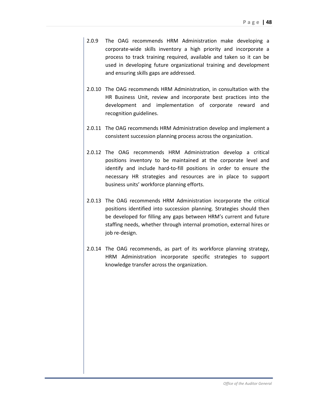- 2.0.9 The OAG recommends HRM Administration make developing a corporate-wide skills inventory a high priority and incorporate a process to track training required, available and taken so it can be used in developing future organizational training and development and ensuring skills gaps are addressed.
- 2.0.10 The OAG recommends HRM Administration, in consultation with the HR Business Unit, review and incorporate best practices into the development and implementation of corporate reward and recognition guidelines.
- 2.0.11 The OAG recommends HRM Administration develop and implement a consistent succession planning process across the organization.
- 2.0.12 The OAG recommends HRM Administration develop a critical positions inventory to be maintained at the corporate level and identify and include hard-to-fill positions in order to ensure the necessary HR strategies and resources are in place to support business units' workforce planning efforts.
- 2.0.13 The OAG recommends HRM Administration incorporate the critical positions identified into succession planning. Strategies should then be developed for filling any gaps between HRM's current and future staffing needs, whether through internal promotion, external hires or job re-design.
- 2.0.14 The OAG recommends, as part of its workforce planning strategy, HRM Administration incorporate specific strategies to support knowledge transfer across the organization.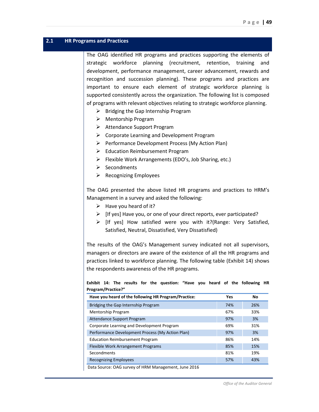#### <span id="page-48-0"></span>**2.1 HR Programs and Practices**

The OAG identified HR programs and practices supporting the elements of strategic workforce planning (recruitment, retention, training and development, performance management, career advancement, rewards and recognition and succession planning). These programs and practices are important to ensure each element of strategic workforce planning is supported consistently across the organization. The following list is composed of programs with relevant objectives relating to strategic workforce planning.

- $\triangleright$  Bridging the Gap Internship Program
- $\triangleright$  Mentorship Program
- Attendance Support Program
- $\triangleright$  Corporate Learning and Development Program
- $\triangleright$  Performance Development Process (My Action Plan)
- $\triangleright$  Education Reimbursement Program
- $\triangleright$  Flexible Work Arrangements (EDO's, Job Sharing, etc.)
- $\triangleright$  Secondments
- $\triangleright$  Recognizing Employees

The OAG presented the above listed HR programs and practices to HRM's Management in a survey and asked the following:

- $\triangleright$  Have you heard of it?
- $\triangleright$  [If yes] Have you, or one of your direct reports, ever participated?
- $\triangleright$  [If yes] How satisfied were you with it?(Range: Very Satisfied, Satisfied, Neutral, Dissatisfied, Very Dissatisfied)

The results of the OAG's Management survey indicated not all supervisors, managers or directors are aware of the existence of all the HR programs and practices linked to workforce planning. The following table (Exhibit 14) shows the respondents awareness of the HR programs.

**Exhibit 14: The results for the question: "Have you heard of the following HR Program/Practice?"** 

| Have you heard of the following HR Program/Practice: | Yes | No  |
|------------------------------------------------------|-----|-----|
| Bridging the Gap Internship Program                  | 74% | 26% |
| <b>Mentorship Program</b>                            | 67% | 33% |
| Attendance Support Program                           | 97% | 3%  |
| Corporate Learning and Development Program           | 69% | 31% |
| Performance Development Process (My Action Plan)     | 97% | 3%  |
| <b>Education Reimbursement Program</b>               | 86% | 14% |
| Flexible Work Arrangement Programs                   | 85% | 15% |
| Secondments                                          | 81% | 19% |
| <b>Recognizing Employees</b>                         | 57% | 43% |

Data Source: OAG survey of HRM Management, June 2016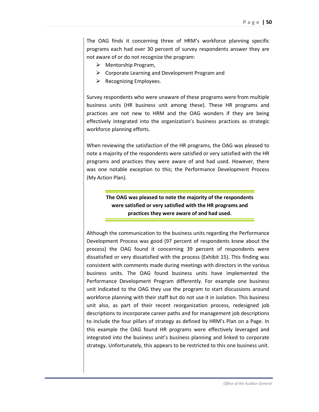The OAG finds it concerning three of HRM's workforce planning specific programs each had over 30 percent of survey respondents answer they are not aware of or do not recognize the program:

- $\triangleright$  Mentorship Program,
- $\triangleright$  Corporate Learning and Development Program and
- $\triangleright$  Recognizing Employees.

Survey respondents who were unaware of these programs were from multiple business units (HR business unit among these). These HR programs and practices are not new to HRM and the OAG wonders if they are being effectively integrated into the organization's business practices as strategic workforce planning efforts.

When reviewing the satisfaction of the HR programs, the OAG was pleased to note a majority of the respondents were satisfied or very satisfied with the HR programs and practices they were aware of and had used. However, there was one notable exception to this; the Performance Development Process (My Action Plan).

> **The OAG was pleased to note the majority of the respondents were satisfied or very satisfied with the HR programs and practices they were aware of and had used.**

Although the communication to the business units regarding the Performance Development Process was good (97 percent of respondents knew about the process) the OAG found it concerning 39 percent of respondents were dissatisfied or very dissatisfied with the process (Exhibit 15). This finding was consistent with comments made during meetings with directors in the various business units. The OAG found business units have implemented the Performance Development Program differently. For example one business unit indicated to the OAG they use the program to start discussions around workforce planning with their staff but do not use it in isolation. This business unit also, as part of their recent reorganization process, redesigned job descriptions to incorporate career paths and for management job descriptions to include the four pillars of strategy as defined by HRM's Plan on a Page. In this example the OAG found HR programs were effectively leveraged and integrated into the business unit's business planning and linked to corporate strategy. Unfortunately, this appears to be restricted to this one business unit.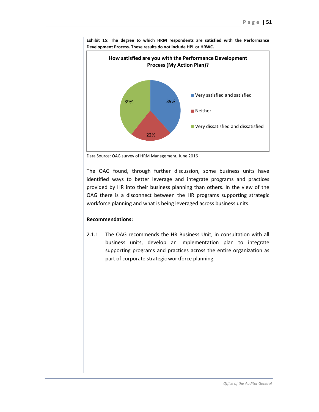

**Exhibit 15: The degree to which HRM respondents are satisfied with the Performance Development Process. These results do not include HPL or HRWC.**

Data Source: OAG survey of HRM Management, June 2016

The OAG found, through further discussion, some business units have identified ways to better leverage and integrate programs and practices provided by HR into their business planning than others. In the view of the OAG there is a disconnect between the HR programs supporting strategic workforce planning and what is being leveraged across business units.

#### **Recommendations:**

2.1.1 The OAG recommends the HR Business Unit, in consultation with all business units, develop an implementation plan to integrate supporting programs and practices across the entire organization as part of corporate strategic workforce planning.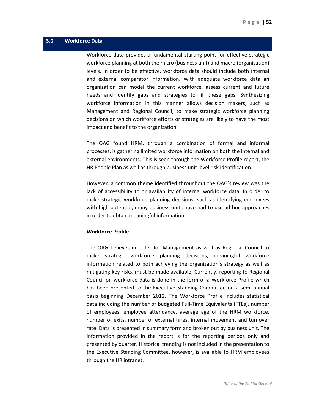## <span id="page-51-0"></span>**3.0 Workforce Data**

Workforce data provides a fundamental starting point for effective strategic workforce planning at both the micro (business unit) and macro (organization) levels. In order to be effective, workforce data should include both internal and external comparator information. With adequate workforce data an organization can model the current workforce, assess current and future needs and identify gaps and strategies to fill these gaps. Synthesizing workforce information in this manner allows decision makers, such as Management and Regional Council, to make strategic workforce planning decisions on which workforce efforts or strategies are likely to have the most impact and benefit to the organization.

The OAG found HRM, through a combination of formal and informal processes, is gathering limited workforce information on both the internal and external environments. This is seen through the Workforce Profile report, the HR People Plan as well as through business unit level risk identification.

However, a common theme identified throughout the OAG's review was the lack of accessibility to or availability of internal workforce data. In order to make strategic workforce planning decisions, such as identifying employees with high potential, many business units have had to use ad hoc approaches in order to obtain meaningful information.

#### **Workforce Profile**

The OAG believes in order for Management as well as Regional Council to make strategic workforce planning decisions, meaningful workforce information related to both achieving the organization's strategy as well as mitigating key risks, must be made available. Currently, reporting to Regional Council on workforce data is done in the form of a Workforce Profile which has been presented to the Executive Standing Committee on a semi-annual basis beginning December 2012. The Workforce Profile includes statistical data including the number of budgeted Full-Time Equivalents (FTEs), number of employees, employee attendance, average age of the HRM workforce, number of exits, number of external hires, internal movement and turnover rate. Data is presented in summary form and broken out by business unit. The information provided in the report is for the reporting periods only and presented by quarter. Historical trending is not included in the presentation to the Executive Standing Committee, however, is available to HRM employees through the HR intranet.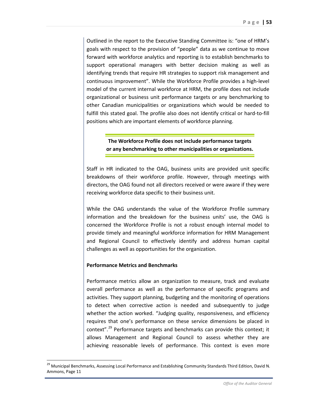Outlined in the report to the Executive Standing Committee is: "one of HRM's goals with respect to the provision of "people" data as we continue to move forward with workforce analytics and reporting is to establish benchmarks to support operational managers with better decision making as well as identifying trends that require HR strategies to support risk management and continuous improvement". While the Workforce Profile provides a high-level model of the current internal workforce at HRM, the profile does not include organizational or business unit performance targets or any benchmarking to other Canadian municipalities or organizations which would be needed to fulfill this stated goal. The profile also does not identify critical or hard-to-fill positions which are important elements of workforce planning.

> **The Workforce Profile does not include performance targets or any benchmarking to other municipalities or organizations.**

Staff in HR indicated to the OAG, business units are provided unit specific breakdowns of their workforce profile. However, through meetings with directors, the OAG found not all directors received or were aware if they were receiving workforce data specific to their business unit.

While the OAG understands the value of the Workforce Profile summary information and the breakdown for the business units' use, the OAG is concerned the Workforce Profile is not a robust enough internal model to provide timely and meaningful workforce information for HRM Management and Regional Council to effectively identify and address human capital challenges as well as opportunities for the organization.

#### **Performance Metrics and Benchmarks**

l

Performance metrics allow an organization to measure, track and evaluate overall performance as well as the performance of specific programs and activities. They support planning, budgeting and the monitoring of operations to detect when corrective action is needed and subsequently to judge whether the action worked. "Judging quality, responsiveness, and efficiency requires that one's performance on these service dimensions be placed in context".[29](#page-52-0) Performance targets and benchmarks can provide this context; it allows Management and Regional Council to assess whether they are achieving reasonable levels of performance. This context is even more

<span id="page-52-0"></span><sup>&</sup>lt;sup>29</sup> Municipal Benchmarks, Assessing Local Performance and Establishing Community Standards Third Edition, David N. Ammons, Page 11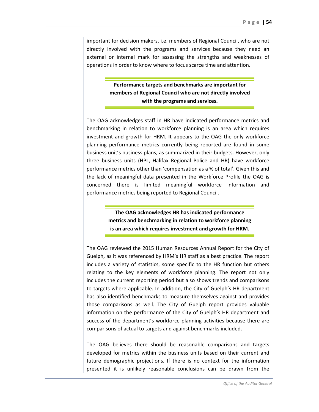important for decision makers, i.e. members of Regional Council, who are not directly involved with the programs and services because they need an external or internal mark for assessing the strengths and weaknesses of operations in order to know where to focus scarce time and attention.

> **Performance targets and benchmarks are important for members of Regional Council who are not directly involved with the programs and services.**

The OAG acknowledges staff in HR have indicated performance metrics and benchmarking in relation to workforce planning is an area which requires investment and growth for HRM. It appears to the OAG the only workforce planning performance metrics currently being reported are found in some business unit's business plans, as summarized in their budgets. However, only three business units (HPL, Halifax Regional Police and HR) have workforce performance metrics other than 'compensation as a % of total'. Given this and the lack of meaningful data presented in the Workforce Profile the OAG is concerned there is limited meaningful workforce information and performance metrics being reported to Regional Council.

> **The OAG acknowledges HR has indicated performance metrics and benchmarking in relation to workforce planning is an area which requires investment and growth for HRM.**

The OAG reviewed the 2015 Human Resources Annual Report for the City of Guelph, as it was referenced by HRM's HR staff as a best practice. The report includes a variety of statistics, some specific to the HR function but others relating to the key elements of workforce planning. The report not only includes the current reporting period but also shows trends and comparisons to targets where applicable. In addition, the City of Guelph's HR department has also identified benchmarks to measure themselves against and provides those comparisons as well. The City of Guelph report provides valuable information on the performance of the City of Guelph's HR department and success of the department's workforce planning activities because there are comparisons of actual to targets and against benchmarks included.

The OAG believes there should be reasonable comparisons and targets developed for metrics within the business units based on their current and future demographic projections. If there is no context for the information presented it is unlikely reasonable conclusions can be drawn from the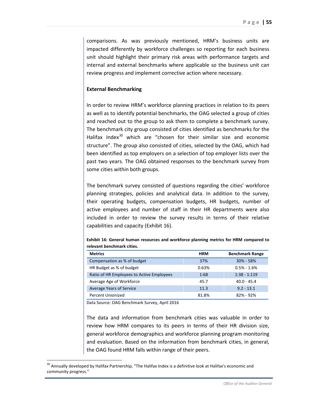comparisons. As was previously mentioned, HRM's business units are impacted differently by workforce challenges so reporting for each business unit should highlight their primary risk areas with performance targets and internal and external benchmarks where applicable so the business unit can review progress and implement corrective action where necessary.

#### **External Benchmarking**

In order to review HRM's workforce planning practices in relation to its peers as well as to identify potential benchmarks, the OAG selected a group of cities and reached out to the group to ask them to complete a benchmark survey. The benchmark city group consisted of cities identified as benchmarks for the Halifax Index $30$  which are "chosen for their similar size and economic structure". The group also consisted of cities, selected by the OAG, which had been identified as top employers on a selection of top employer lists over the past two years. The OAG obtained responses to the benchmark survey from some cities within both groups.

The benchmark survey consisted of questions regarding the cities' workforce planning strategies, policies and analytical data. In addition to the survey, their operating budgets, compensation budgets, HR budgets, number of active employees and number of staff in their HR departments were also included in order to review the survey results in terms of their relative capabilities and capacity (Exhibit 16).

| <b>Metrics</b>                            | <b>HRM</b> | <b>Benchmark Range</b> |
|-------------------------------------------|------------|------------------------|
| Compensation as % of budget               | 37%        | $30\% - 58\%$          |
| HR Budget as % of budget                  | 0.63%      | $0.5\% - 1.6\%$        |
| Ratio of HR Employees to Active Employees | 1:68       | $1:38 - 1:119$         |
| Average Age of Workforce                  | 45.7       | $40.0 - 45.4$          |
| Average Years of Service                  | 11.3       | $9.2 - 13.1$           |
| <b>Percent Unionized</b>                  | 81.8%      | $82\% - 92\%$          |

**Exhibit 16: General human resources and workforce planning metrics for HRM compared to relevant benchmark cities.**

Data Source: OAG Benchmark Survey, April 2016

l

The data and information from benchmark cities was valuable in order to review how HRM compares to its peers in terms of their HR division size, general workforce demographics and workforce planning program monitoring and evaluation. Based on the information from benchmark cities, in general, the OAG found HRM falls within range of their peers.

<span id="page-54-0"></span><sup>&</sup>lt;sup>30</sup> Annually developed by Halifax Partnership, "The Halifax Index is a definitive look at Halifax's economic and community progress."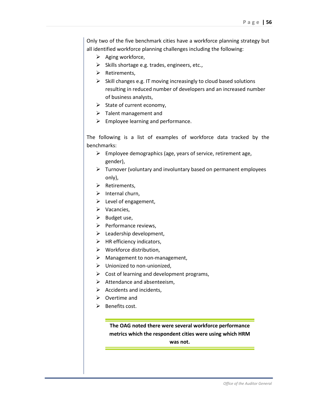Only two of the five benchmark cities have a workforce planning strategy but all identified workforce planning challenges including the following:

- $\triangleright$  Aging workforce,
- $\triangleright$  Skills shortage e.g. trades, engineers, etc.,
- $\triangleright$  Retirements,
- $\triangleright$  Skill changes e.g. IT moving increasingly to cloud based solutions resulting in reduced number of developers and an increased number of business analysts,
- $\triangleright$  State of current economy,
- $\triangleright$  Talent management and
- $\triangleright$  Employee learning and performance.

The following is a list of examples of workforce data tracked by the benchmarks:

- $\triangleright$  Employee demographics (age, years of service, retirement age, gender),
- $\triangleright$  Turnover (voluntary and involuntary based on permanent employees only),
- $\triangleright$  Retirements,
- $\triangleright$  Internal churn,
- $\triangleright$  Level of engagement,
- $\triangleright$  Vacancies,
- $\triangleright$  Budget use,
- $\triangleright$  Performance reviews,
- $\triangleright$  Leadership development,
- $\triangleright$  HR efficiency indicators,
- $\triangleright$  Workforce distribution,
- $\triangleright$  Management to non-management,
- Unionized to non-unionized,
- $\triangleright$  Cost of learning and development programs,
- $\triangleright$  Attendance and absenteeism,
- $\triangleright$  Accidents and incidents.
- $\triangleright$  Overtime and
- $\triangleright$  Benefits cost.

**The OAG noted there were several workforce performance metrics which the respondent cities were using which HRM was not.**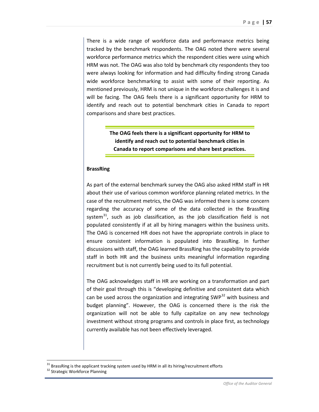There is a wide range of workforce data and performance metrics being tracked by the benchmark respondents. The OAG noted there were several workforce performance metrics which the respondent cities were using which HRM was not. The OAG was also told by benchmark city respondents they too were always looking for information and had difficulty finding strong Canada wide workforce benchmarking to assist with some of their reporting. As mentioned previously, HRM is not unique in the workforce challenges it is and will be facing. The OAG feels there is a significant opportunity for HRM to identify and reach out to potential benchmark cities in Canada to report comparisons and share best practices.

> **The OAG feels there is a significant opportunity for HRM to identify and reach out to potential benchmark cities in Canada to report comparisons and share best practices.**

#### **BrassRing**

As part of the external benchmark survey the OAG also asked HRM staff in HR about their use of various common workforce planning related metrics. In the case of the recruitment metrics, the OAG was informed there is some concern regarding the accuracy of some of the data collected in the BrassRing system $^{31}$  $^{31}$  $^{31}$ , such as job classification, as the job classification field is not populated consistently if at all by hiring managers within the business units. The OAG is concerned HR does not have the appropriate controls in place to ensure consistent information is populated into BrassRing. In further discussions with staff, the OAG learned BrassRing has the capability to provide staff in both HR and the business units meaningful information regarding recruitment but is not currently being used to its full potential.

The OAG acknowledges staff in HR are working on a transformation and part of their goal through this is "developing definitive and consistent data which can be used across the organization and integrating SWP $32$  with business and budget planning". However, the OAG is concerned there is the risk the organization will not be able to fully capitalize on any new technology investment without strong programs and controls in place first, as technology currently available has not been effectively leveraged.

l

<span id="page-56-1"></span><span id="page-56-0"></span> $31$  BrassRing is the applicant tracking system used by HRM in all its hiring/recruitment efforts  $32$  Strategic Workforce Planning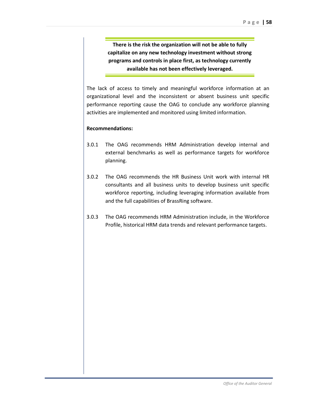**There is the risk the organization will not be able to fully capitalize on any new technology investment without strong programs and controls in place first, as technology currently available has not been effectively leveraged.**

The lack of access to timely and meaningful workforce information at an organizational level and the inconsistent or absent business unit specific performance reporting cause the OAG to conclude any workforce planning activities are implemented and monitored using limited information.

#### **Recommendations:**

- 3.0.1 The OAG recommends HRM Administration develop internal and external benchmarks as well as performance targets for workforce planning.
- 3.0.2 The OAG recommends the HR Business Unit work with internal HR consultants and all business units to develop business unit specific workforce reporting, including leveraging information available from and the full capabilities of BrassRing software.
- 3.0.3 The OAG recommends HRM Administration include, in the Workforce Profile, historical HRM data trends and relevant performance targets.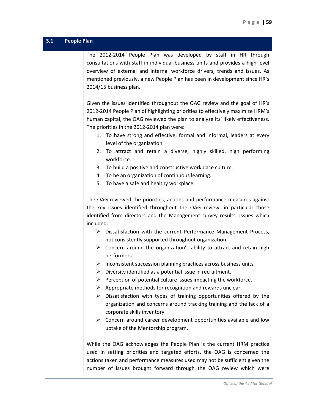<span id="page-58-0"></span>

| 3.1 | <b>People Plan</b>                                                                                                                                                                                                                                                                                                                                                                                                                                                                                                                                                                                                                                                                                                                                                                                                                                                                                                                                                                                                                                                                                                                                             |
|-----|----------------------------------------------------------------------------------------------------------------------------------------------------------------------------------------------------------------------------------------------------------------------------------------------------------------------------------------------------------------------------------------------------------------------------------------------------------------------------------------------------------------------------------------------------------------------------------------------------------------------------------------------------------------------------------------------------------------------------------------------------------------------------------------------------------------------------------------------------------------------------------------------------------------------------------------------------------------------------------------------------------------------------------------------------------------------------------------------------------------------------------------------------------------|
|     | The 2012-2014 People Plan was developed by staff in HR through<br>consultations with staff in individual business units and provides a high level<br>overview of external and internal workforce drivers, trends and issues. As<br>mentioned previously, a new People Plan has been in development since HR's<br>2014/15 business plan.                                                                                                                                                                                                                                                                                                                                                                                                                                                                                                                                                                                                                                                                                                                                                                                                                        |
|     | Given the issues identified throughout the OAG review and the goal of HR's<br>2012-2014 People Plan of highlighting priorities to effectively maximize HRM's<br>human capital, the OAG reviewed the plan to analyze its' likely effectiveness.<br>The priorities in the 2012-2014 plan were:<br>1. To have strong and effective, formal and informal, leaders at every<br>level of the organization.<br>2. To attract and retain a diverse, highly skilled, high performing<br>workforce.<br>3. To build a positive and constructive workplace culture.<br>To be an organization of continuous learning.<br>4.                                                                                                                                                                                                                                                                                                                                                                                                                                                                                                                                                 |
|     | 5. To have a safe and healthy workplace.<br>The OAG reviewed the priorities, actions and performance measures against<br>the key issues identified throughout the OAG review; in particular those<br>identified from directors and the Management survey results. Issues which<br>included:<br>$\triangleright$ Dissatisfaction with the current Performance Management Process,<br>not consistently supported throughout organization.<br>$\triangleright$ Concern around the organization's ability to attract and retain high<br>performers.<br>$\triangleright$ Inconsistent succession planning practices across business units.<br>Diversity identified as a potential issue in recruitment.<br>➤<br>Perception of potential culture issues impacting the workforce.<br>➤<br>Appropriate methods for recognition and rewards unclear.<br>➤<br>Dissatisfaction with types of training opportunities offered by the<br>≻<br>organization and concerns around tracking training and the lack of a<br>corporate skills inventory.<br>$\triangleright$ Concern around career development opportunities available and low<br>uptake of the Mentorship program. |
|     | While the OAG acknowledges the People Plan is the current HRM practice<br>used in setting priorities and targeted efforts, the OAG is concerned the<br>actions taken and performance measures used may not be sufficient given the<br>number of issues brought forward through the OAG review which were                                                                                                                                                                                                                                                                                                                                                                                                                                                                                                                                                                                                                                                                                                                                                                                                                                                       |
|     | Office of the Auditor General                                                                                                                                                                                                                                                                                                                                                                                                                                                                                                                                                                                                                                                                                                                                                                                                                                                                                                                                                                                                                                                                                                                                  |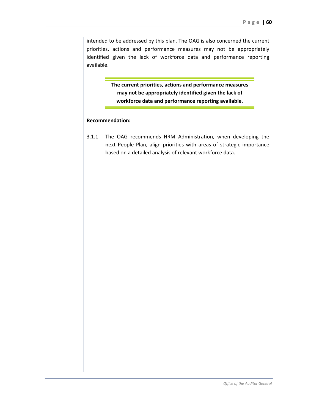intended to be addressed by this plan. The OAG is also concerned the current priorities, actions and performance measures may not be appropriately identified given the lack of workforce data and performance reporting available.

> **The current priorities, actions and performance measures may not be appropriately identified given the lack of workforce data and performance reporting available.**

#### **Recommendation:**

3.1.1 The OAG recommends HRM Administration, when developing the next People Plan, align priorities with areas of strategic importance based on a detailed analysis of relevant workforce data.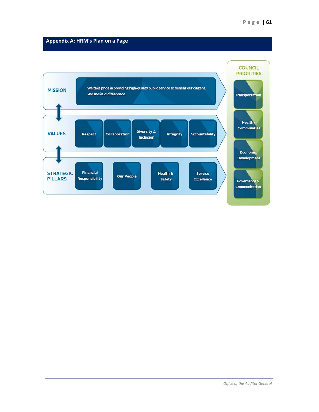## <span id="page-60-0"></span>**Appendix A: HRM's Plan on a Page**